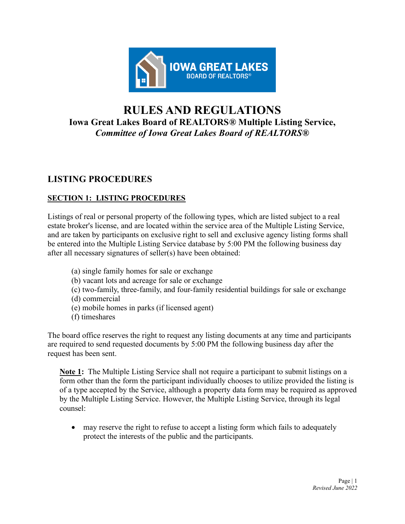

# **RULES AND REGULATIONS Iowa Great Lakes Board of REALTORS***®* **Multiple Listing Service,** *Committee of Iowa Great Lakes Board of REALTORS®*

# **LISTING PROCEDURES**

# **SECTION 1: LISTING PROCEDURES**

Listings of real or personal property of the following types, which are listed subject to a real estate broker's license, and are located within the service area of the Multiple Listing Service, and are taken by participants on exclusive right to sell and exclusive agency listing forms shall be entered into the Multiple Listing Service database by 5:00 PM the following business day after all necessary signatures of seller(s) have been obtained:

- (a) single family homes for sale or exchange
- (b) vacant lots and acreage for sale or exchange
- (c) two-family, three-family, and four-family residential buildings for sale or exchange (d) commercial
- (e) mobile homes in parks (if licensed agent)
- (f) timeshares

The board office reserves the right to request any listing documents at any time and participants are required to send requested documents by 5:00 PM the following business day after the request has been sent.

**Note 1:** The Multiple Listing Service shall not require a participant to submit listings on a form other than the form the participant individually chooses to utilize provided the listing is of a type accepted by the Service, although a property data form may be required as approved by the Multiple Listing Service. However, the Multiple Listing Service, through its legal counsel:

• may reserve the right to refuse to accept a listing form which fails to adequately protect the interests of the public and the participants.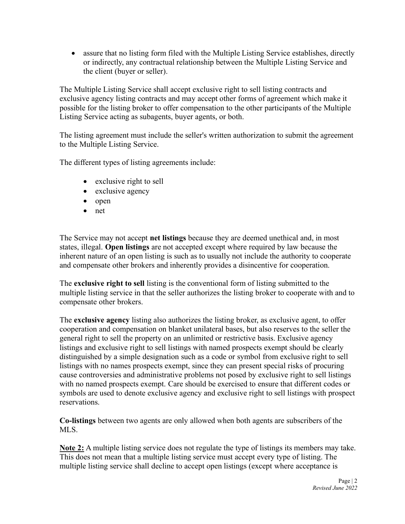• assure that no listing form filed with the Multiple Listing Service establishes, directly or indirectly, any contractual relationship between the Multiple Listing Service and the client (buyer or seller).

The Multiple Listing Service shall accept exclusive right to sell listing contracts and exclusive agency listing contracts and may accept other forms of agreement which make it possible for the listing broker to offer compensation to the other participants of the Multiple Listing Service acting as subagents, buyer agents, or both.

The listing agreement must include the seller's written authorization to submit the agreement to the Multiple Listing Service.

The different types of listing agreements include:

- exclusive right to sell
- exclusive agency
- open
- net

The Service may not accept **net listings** because they are deemed unethical and, in most states, illegal. **Open listings** are not accepted except where required by law because the inherent nature of an open listing is such as to usually not include the authority to cooperate and compensate other brokers and inherently provides a disincentive for cooperation.

The **exclusive right to sell** listing is the conventional form of listing submitted to the multiple listing service in that the seller authorizes the listing broker to cooperate with and to compensate other brokers.

The **exclusive agency** listing also authorizes the listing broker, as exclusive agent, to offer cooperation and compensation on blanket unilateral bases, but also reserves to the seller the general right to sell the property on an unlimited or restrictive basis. Exclusive agency listings and exclusive right to sell listings with named prospects exempt should be clearly distinguished by a simple designation such as a code or symbol from exclusive right to sell listings with no names prospects exempt, since they can present special risks of procuring cause controversies and administrative problems not posed by exclusive right to sell listings with no named prospects exempt. Care should be exercised to ensure that different codes or symbols are used to denote exclusive agency and exclusive right to sell listings with prospect reservations.

**Co-listings** between two agents are only allowed when both agents are subscribers of the MLS.

**Note 2:** A multiple listing service does not regulate the type of listings its members may take. This does not mean that a multiple listing service must accept every type of listing. The multiple listing service shall decline to accept open listings (except where acceptance is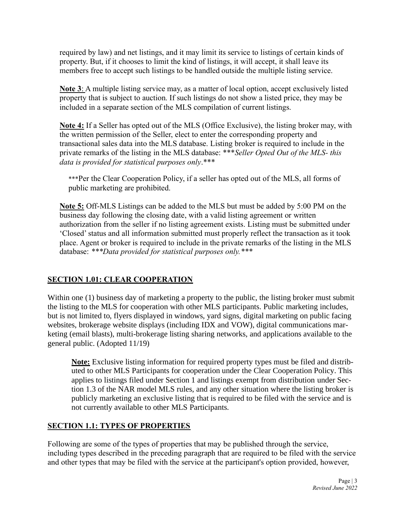required by law) and net listings, and it may limit its service to listings of certain kinds of property. But, if it chooses to limit the kind of listings, it will accept, it shall leave its members free to accept such listings to be handled outside the multiple listing service.

**Note 3**: A multiple listing service may, as a matter of local option, accept exclusively listed property that is subject to auction. If such listings do not show a listed price, they may be included in a separate section of the MLS compilation of current listings.

**Note 4:** If a Seller has opted out of the MLS (Office Exclusive), the listing broker may, with the written permission of the Seller, elect to enter the corresponding property and transactional sales data into the MLS database. Listing broker is required to include in the private remarks of the listing in the MLS database: \*\*\**Seller Opted Out of the MLS- this data is provided for statistical purposes only*.\*\*\*

\*\*\*Per the Clear Cooperation Policy, if a seller has opted out of the MLS, all forms of public marketing are prohibited.

**Note 5:** Off-MLS Listings can be added to the MLS but must be added by 5:00 PM on the business day following the closing date, with a valid listing agreement or written authorization from the seller if no listing agreement exists. Listing must be submitted under 'Closed' status and all information submitted must properly reflect the transaction as it took place. Agent or broker is required to include in the private remarks of the listing in the MLS database: *\*\*\*Data provided for statistical purposes only.\*\*\**

# **SECTION 1.01: CLEAR COOPERATION**

Within one (1) business day of marketing a property to the public, the listing broker must submit the listing to the MLS for cooperation with other MLS participants. Public marketing includes, but is not limited to, flyers displayed in windows, yard signs, digital marketing on public facing websites, brokerage website displays (including IDX and VOW), digital communications marketing (email blasts), multi-brokerage listing sharing networks, and applications available to the general public. (Adopted 11/19)

**Note:** Exclusive listing information for required property types must be filed and distributed to other MLS Participants for cooperation under the Clear Cooperation Policy. This applies to listings filed under Section 1 and listings exempt from distribution under Section 1.3 of the NAR model MLS rules, and any other situation where the listing broker is publicly marketing an exclusive listing that is required to be filed with the service and is not currently available to other MLS Participants.

# **SECTION 1.1: TYPES OF PROPERTIES**

Following are some of the types of properties that may be published through the service, including types described in the preceding paragraph that are required to be filed with the service and other types that may be filed with the service at the participant's option provided, however,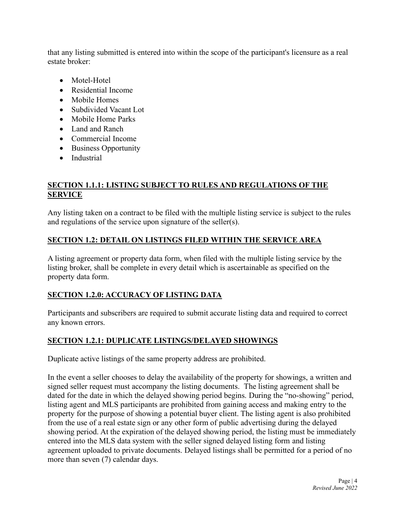that any listing submitted is entered into within the scope of the participant's licensure as a real estate broker:

- Motel-Hotel
- Residential Income
- Mobile Homes
- Subdivided Vacant Lot
- Mobile Home Parks
- Land and Ranch
- Commercial Income
- Business Opportunity
- Industrial

# **SECTION 1.1.1: LISTING SUBJECT TO RULES AND REGULATIONS OF THE SERVICE**

Any listing taken on a contract to be filed with the multiple listing service is subject to the rules and regulations of the service upon signature of the seller(s).

# **SECTION 1.2: DETAIL ON LISTINGS FILED WITHIN THE SERVICE AREA**

A listing agreement or property data form, when filed with the multiple listing service by the listing broker, shall be complete in every detail which is ascertainable as specified on the property data form.

# **SECTION 1.2.0: ACCURACY OF LISTING DATA**

Participants and subscribers are required to submit accurate listing data and required to correct any known errors.

# **SECTION 1.2.1: DUPLICATE LISTINGS/DELAYED SHOWINGS**

Duplicate active listings of the same property address are prohibited.

In the event a seller chooses to delay the availability of the property for showings, a written and signed seller request must accompany the listing documents. The listing agreement shall be dated for the date in which the delayed showing period begins. During the "no-showing" period, listing agent and MLS participants are prohibited from gaining access and making entry to the property for the purpose of showing a potential buyer client. The listing agent is also prohibited from the use of a real estate sign or any other form of public advertising during the delayed showing period. At the expiration of the delayed showing period, the listing must be immediately entered into the MLS data system with the seller signed delayed listing form and listing agreement uploaded to private documents. Delayed listings shall be permitted for a period of no more than seven (7) calendar days.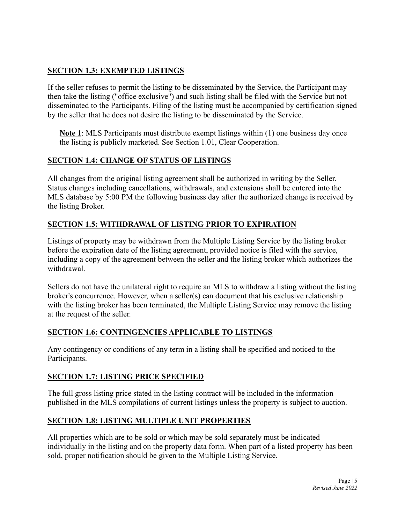# **SECTION 1.3: EXEMPTED LISTINGS**

If the seller refuses to permit the listing to be disseminated by the Service, the Participant may then take the listing ("office exclusive") and such listing shall be filed with the Service but not disseminated to the Participants. Filing of the listing must be accompanied by certification signed by the seller that he does not desire the listing to be disseminated by the Service.

**Note 1**: MLS Participants must distribute exempt listings within (1) one business day once the listing is publicly marketed. See Section 1.01, Clear Cooperation.

# **SECTION 1.4: CHANGE OF STATUS OF LISTINGS**

All changes from the original listing agreement shall be authorized in writing by the Seller. Status changes including cancellations, withdrawals, and extensions shall be entered into the MLS database by 5:00 PM the following business day after the authorized change is received by the listing Broker.

# **SECTION 1.5: WITHDRAWAL OF LISTING PRIOR TO EXPIRATION**

Listings of property may be withdrawn from the Multiple Listing Service by the listing broker before the expiration date of the listing agreement, provided notice is filed with the service, including a copy of the agreement between the seller and the listing broker which authorizes the withdrawal.

Sellers do not have the unilateral right to require an MLS to withdraw a listing without the listing broker's concurrence. However, when a seller(s) can document that his exclusive relationship with the listing broker has been terminated, the Multiple Listing Service may remove the listing at the request of the seller.

# **SECTION 1.6: CONTINGENCIES APPLICABLE TO LISTINGS**

Any contingency or conditions of any term in a listing shall be specified and noticed to the Participants.

# **SECTION 1.7: LISTING PRICE SPECIFIED**

The full gross listing price stated in the listing contract will be included in the information published in the MLS compilations of current listings unless the property is subject to auction.

# **SECTION 1.8: LISTING MULTIPLE UNIT PROPERTIES**

All properties which are to be sold or which may be sold separately must be indicated individually in the listing and on the property data form. When part of a listed property has been sold, proper notification should be given to the Multiple Listing Service.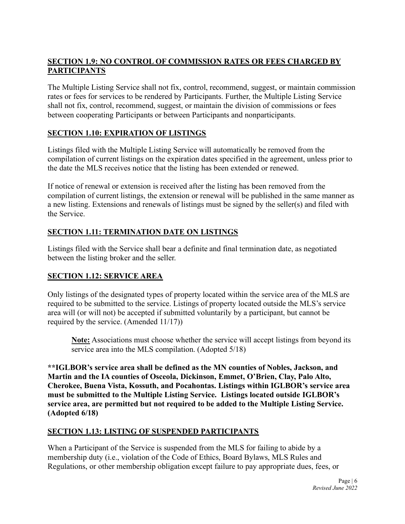# **SECTION 1.9: NO CONTROL OF COMMISSION RATES OR FEES CHARGED BY PARTICIPANTS**

The Multiple Listing Service shall not fix, control, recommend, suggest, or maintain commission rates or fees for services to be rendered by Participants. Further, the Multiple Listing Service shall not fix, control, recommend, suggest, or maintain the division of commissions or fees between cooperating Participants or between Participants and nonparticipants.

# **SECTION 1.10: EXPIRATION OF LISTINGS**

Listings filed with the Multiple Listing Service will automatically be removed from the compilation of current listings on the expiration dates specified in the agreement, unless prior to the date the MLS receives notice that the listing has been extended or renewed.

If notice of renewal or extension is received after the listing has been removed from the compilation of current listings, the extension or renewal will be published in the same manner as a new listing. Extensions and renewals of listings must be signed by the seller(s) and filed with the Service.

# **SECTION 1.11: TERMINATION DATE ON LISTINGS**

Listings filed with the Service shall bear a definite and final termination date, as negotiated between the listing broker and the seller.

# **SECTION 1.12: SERVICE AREA**

Only listings of the designated types of property located within the service area of the MLS are required to be submitted to the service. Listings of property located outside the MLS's service area will (or will not) be accepted if submitted voluntarily by a participant, but cannot be required by the service. (Amended 11/17))

**Note:** Associations must choose whether the service will accept listings from beyond its service area into the MLS compilation. (Adopted 5/18)

**\*\*IGLBOR's service area shall be defined as the MN counties of Nobles, Jackson, and Martin and the IA counties of Osceola, Dickinson, Emmet, O'Brien, Clay, Palo Alto, Cherokee, Buena Vista, Kossuth, and Pocahontas. Listings within IGLBOR's service area must be submitted to the Multiple Listing Service. Listings located outside IGLBOR's service area, are permitted but not required to be added to the Multiple Listing Service. (Adopted 6/18)** 

# **SECTION 1.13: LISTING OF SUSPENDED PARTICIPANTS**

When a Participant of the Service is suspended from the MLS for failing to abide by a membership duty (i.e., violation of the Code of Ethics, Board Bylaws, MLS Rules and Regulations, or other membership obligation except failure to pay appropriate dues, fees, or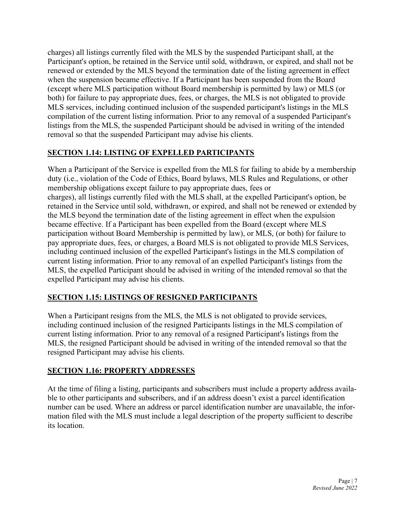charges) all listings currently filed with the MLS by the suspended Participant shall, at the Participant's option, be retained in the Service until sold, withdrawn, or expired, and shall not be renewed or extended by the MLS beyond the termination date of the listing agreement in effect when the suspension became effective. If a Participant has been suspended from the Board (except where MLS participation without Board membership is permitted by law) or MLS (or both) for failure to pay appropriate dues, fees, or charges, the MLS is not obligated to provide MLS services, including continued inclusion of the suspended participant's listings in the MLS compilation of the current listing information. Prior to any removal of a suspended Participant's listings from the MLS, the suspended Participant should be advised in writing of the intended removal so that the suspended Participant may advise his clients.

# **SECTION 1.14: LISTING OF EXPELLED PARTICIPANTS**

When a Participant of the Service is expelled from the MLS for failing to abide by a membership duty (i.e., violation of the Code of Ethics, Board bylaws, MLS Rules and Regulations, or other membership obligations except failure to pay appropriate dues, fees or charges), all listings currently filed with the MLS shall, at the expelled Participant's option, be retained in the Service until sold, withdrawn, or expired, and shall not be renewed or extended by the MLS beyond the termination date of the listing agreement in effect when the expulsion became effective. If a Participant has been expelled from the Board (except where MLS participation without Board Membership is permitted by law), or MLS, (or both) for failure to pay appropriate dues, fees, or charges, a Board MLS is not obligated to provide MLS Services, including continued inclusion of the expelled Participant's listings in the MLS compilation of current listing information. Prior to any removal of an expelled Participant's listings from the MLS, the expelled Participant should be advised in writing of the intended removal so that the expelled Participant may advise his clients.

# **SECTION 1.15: LISTINGS OF RESIGNED PARTICIPANTS**

When a Participant resigns from the MLS, the MLS is not obligated to provide services, including continued inclusion of the resigned Participants listings in the MLS compilation of current listing information. Prior to any removal of a resigned Participant's listings from the MLS, the resigned Participant should be advised in writing of the intended removal so that the resigned Participant may advise his clients.

# **SECTION 1.16: PROPERTY ADDRESSES**

At the time of filing a listing, participants and subscribers must include a property address available to other participants and subscribers, and if an address doesn't exist a parcel identification number can be used. Where an address or parcel identification number are unavailable, the information filed with the MLS must include a legal description of the property sufficient to describe its location.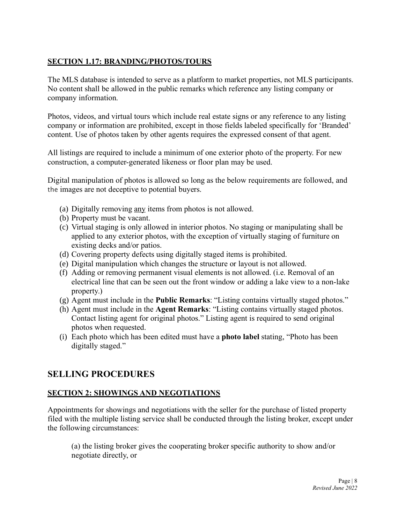# **SECTION 1.17: BRANDING/PHOTOS/TOURS**

The MLS database is intended to serve as a platform to market properties, not MLS participants. No content shall be allowed in the public remarks which reference any listing company or company information.

Photos, videos, and virtual tours which include real estate signs or any reference to any listing company or information are prohibited, except in those fields labeled specifically for 'Branded' content. Use of photos taken by other agents requires the expressed consent of that agent.

All listings are required to include a minimum of one exterior photo of the property. For new construction, a computer-generated likeness or floor plan may be used.

Digital manipulation of photos is allowed so long as the below requirements are followed, and the images are not deceptive to potential buyers.

- (a) Digitally removing any items from photos is not allowed.
- (b) Property must be vacant.
- (c) Virtual staging is only allowed in interior photos. No staging or manipulating shall be applied to any exterior photos, with the exception of virtually staging of furniture on existing decks and/or patios.
- (d) Covering property defects using digitally staged items is prohibited.
- (e) Digital manipulation which changes the structure or layout is not allowed.
- (f) Adding or removing permanent visual elements is not allowed. (i.e. Removal of an electrical line that can be seen out the front window or adding a lake view to a non-lake property.)
- (g) Agent must include in the **Public Remarks**: "Listing contains virtually staged photos."
- (h) Agent must include in the **Agent Remarks**: "Listing contains virtually staged photos. Contact listing agent for original photos." Listing agent is required to send original photos when requested.
- (i) Each photo which has been edited must have a **photo label** stating, "Photo has been digitally staged."

# **SELLING PROCEDURES**

# **SECTION 2: SHOWINGS AND NEGOTIATIONS**

Appointments for showings and negotiations with the seller for the purchase of listed property filed with the multiple listing service shall be conducted through the listing broker, except under the following circumstances:

(a) the listing broker gives the cooperating broker specific authority to show and/or negotiate directly, or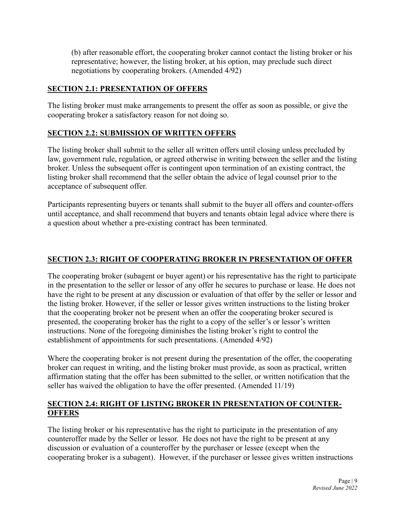(b) after reasonable effort, the cooperating broker cannot contact the listing broker or his representative; however, the listing broker, at his option, may preclude such direct negotiations by cooperating brokers. (Amended 4/92)

#### **SECTION 2.1: PRESENTATION OF OFFERS**

The listing broker must make arrangements to present the offer as soon as possible, or give the cooperating broker a satisfactory reason for not doing so.

# **SECTION 2.2: SUBMISSION OF WRITTEN OFFERS**

The listing broker shall submit to the seller all written offers until closing unless precluded by law, government rule, regulation, or agreed otherwise in writing between the seller and the listing broker. Unless the subsequent offer is contingent upon termination of an existing contract, the listing broker shall recommend that the seller obtain the advice of legal counsel prior to the acceptance of subsequent offer.

Participants representing buyers or tenants shall submit to the buyer all offers and counter-offers until acceptance, and shall recommend that buyers and tenants obtain legal advice where there is a question about whether a pre-existing contract has been terminated.

# **SECTION 2.3: RIGHT OF COOPERATING BROKER IN PRESENTATION OF OFFER**

The cooperating broker (subagent or buyer agent) or his representative has the right to participate in the presentation to the seller or lessor of any offer he secures to purchase or lease. He does not have the right to be present at any discussion or evaluation of that offer by the seller or lessor and the listing broker. However, if the seller or lessor gives written instructions to the listing broker that the cooperating broker not be present when an offer the cooperating broker secured is presented, the cooperating broker has the right to a copy of the seller's or lessor's written instructions. None of the foregoing diminishes the listing broker's right to control the establishment of appointments for such presentations. (Amended 4/92)

Where the cooperating broker is not present during the presentation of the offer, the cooperating broker can request in writing, and the listing broker must provide, as soon as practical, written affirmation stating that the offer has been submitted to the seller, or written notification that the seller has waived the obligation to have the offer presented. (Amended 11/19)

#### **SECTION 2.4: RIGHT OF LISTING BROKER IN PRESENTATION OF COUNTER-OFFERS**

The listing broker or his representative has the right to participate in the presentation of any counteroffer made by the Seller or lessor. He does not have the right to be present at any discussion or evaluation of a counteroffer by the purchaser or lessee (except when the cooperating broker is a subagent). However, if the purchaser or lessee gives written instructions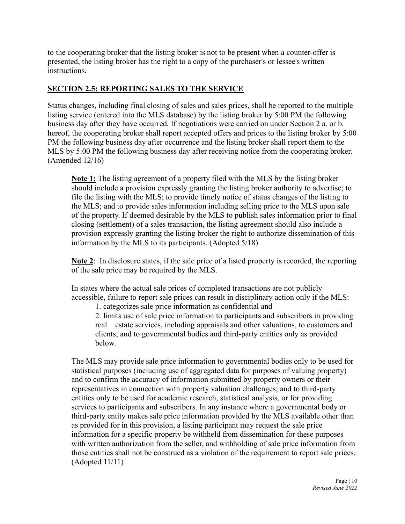to the cooperating broker that the listing broker is not to be present when a counter-offer is presented, the listing broker has the right to a copy of the purchaser's or lessee's written instructions.

#### **SECTION 2.5: REPORTING SALES TO THE SERVICE**

Status changes, including final closing of sales and sales prices, shall be reported to the multiple listing service (entered into the MLS database) by the listing broker by 5:00 PM the following business day after they have occurred. If negotiations were carried on under Section 2 a. or b. hereof, the cooperating broker shall report accepted offers and prices to the listing broker by 5:00 PM the following business day after occurrence and the listing broker shall report them to the MLS by 5:00 PM the following business day after receiving notice from the cooperating broker. (Amended 12/16)

**Note 1:** The listing agreement of a property filed with the MLS by the listing broker should include a provision expressly granting the listing broker authority to advertise; to file the listing with the MLS; to provide timely notice of status changes of the listing to the MLS; and to provide sales information including selling price to the MLS upon sale of the property. If deemed desirable by the MLS to publish sales information prior to final closing (settlement) of a sales transaction, the listing agreement should also include a provision expressly granting the listing broker the right to authorize dissemination of this information by the MLS to its participants. (Adopted 5/18)

**Note 2**: In disclosure states, if the sale price of a listed property is recorded, the reporting of the sale price may be required by the MLS.

In states where the actual sale prices of completed transactions are not publicly accessible, failure to report sale prices can result in disciplinary action only if the MLS:

1. categorizes sale price information as confidential and

2. limits use of sale price information to participants and subscribers in providing real estate services, including appraisals and other valuations, to customers and clients; and to governmental bodies and third-party entities only as provided below.

The MLS may provide sale price information to governmental bodies only to be used for statistical purposes (including use of aggregated data for purposes of valuing property) and to confirm the accuracy of information submitted by property owners or their representatives in connection with property valuation challenges; and to third-party entities only to be used for academic research, statistical analysis, or for providing services to participants and subscribers. In any instance where a governmental body or third-party entity makes sale price information provided by the MLS available other than as provided for in this provision, a listing participant may request the sale price information for a specific property be withheld from dissemination for these purposes with written authorization from the seller, and withholding of sale price information from those entities shall not be construed as a violation of the requirement to report sale prices. (Adopted 11/11)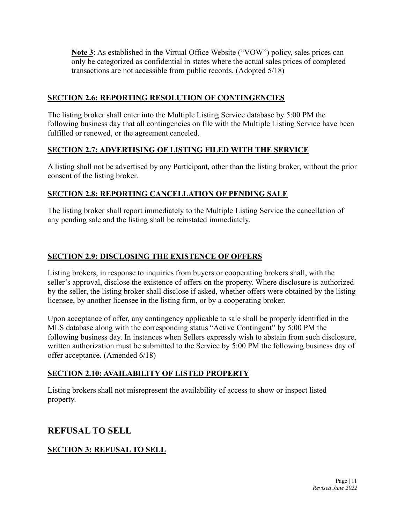**Note 3**: As established in the Virtual Office Website ("VOW") policy, sales prices can only be categorized as confidential in states where the actual sales prices of completed transactions are not accessible from public records. (Adopted 5/18)

#### **SECTION 2.6: REPORTING RESOLUTION OF CONTINGENCIES**

The listing broker shall enter into the Multiple Listing Service database by 5:00 PM the following business day that all contingencies on file with the Multiple Listing Service have been fulfilled or renewed, or the agreement canceled.

# **SECTION 2.7: ADVERTISING OF LISTING FILED WITH THE SERVICE**

A listing shall not be advertised by any Participant, other than the listing broker, without the prior consent of the listing broker.

#### **SECTION 2.8: REPORTING CANCELLATION OF PENDING SALE**

The listing broker shall report immediately to the Multiple Listing Service the cancellation of any pending sale and the listing shall be reinstated immediately.

# **SECTION 2.9: DISCLOSING THE EXISTENCE OF OFFERS**

Listing brokers, in response to inquiries from buyers or cooperating brokers shall, with the seller's approval, disclose the existence of offers on the property. Where disclosure is authorized by the seller, the listing broker shall disclose if asked, whether offers were obtained by the listing licensee, by another licensee in the listing firm, or by a cooperating broker.

Upon acceptance of offer, any contingency applicable to sale shall be properly identified in the MLS database along with the corresponding status "Active Contingent" by 5:00 PM the following business day. In instances when Sellers expressly wish to abstain from such disclosure, written authorization must be submitted to the Service by 5:00 PM the following business day of offer acceptance. (Amended 6/18)

# **SECTION 2.10: AVAILABILITY OF LISTED PROPERTY**

Listing brokers shall not misrepresent the availability of access to show or inspect listed property.

# **REFUSAL TO SELL**

# **SECTION 3: REFUSAL TO SELL**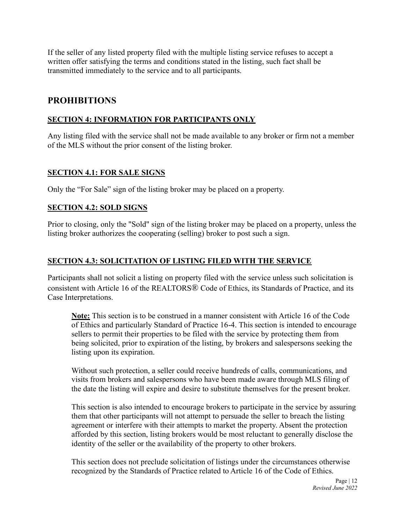If the seller of any listed property filed with the multiple listing service refuses to accept a written offer satisfying the terms and conditions stated in the listing, such fact shall be transmitted immediately to the service and to all participants.

# **PROHIBITIONS**

#### **SECTION 4: INFORMATION FOR PARTICIPANTS ONLY**

Any listing filed with the service shall not be made available to any broker or firm not a member of the MLS without the prior consent of the listing broker.

#### **SECTION 4.1: FOR SALE SIGNS**

Only the "For Sale" sign of the listing broker may be placed on a property.

#### **SECTION 4.2: SOLD SIGNS**

Prior to closing, only the "Sold" sign of the listing broker may be placed on a property, unless the listing broker authorizes the cooperating (selling) broker to post such a sign.

#### **SECTION 4.3: SOLICITATION OF LISTING FILED WITH THE SERVICE**

Participants shall not solicit a listing on property filed with the service unless such solicitation is consistent with Article 16 of the REALTORS® Code of Ethics, its Standards of Practice, and its Case Interpretations.

**Note:** This section is to be construed in a manner consistent with Article 16 of the Code of Ethics and particularly Standard of Practice 16-4. This section is intended to encourage sellers to permit their properties to be filed with the service by protecting them from being solicited, prior to expiration of the listing, by brokers and salespersons seeking the listing upon its expiration.

Without such protection, a seller could receive hundreds of calls, communications, and visits from brokers and salespersons who have been made aware through MLS filing of the date the listing will expire and desire to substitute themselves for the present broker.

This section is also intended to encourage brokers to participate in the service by assuring them that other participants will not attempt to persuade the seller to breach the listing agreement or interfere with their attempts to market the property. Absent the protection afforded by this section, listing brokers would be most reluctant to generally disclose the identity of the seller or the availability of the property to other brokers.

This section does not preclude solicitation of listings under the circumstances otherwise recognized by the Standards of Practice related to Article 16 of the Code of Ethics.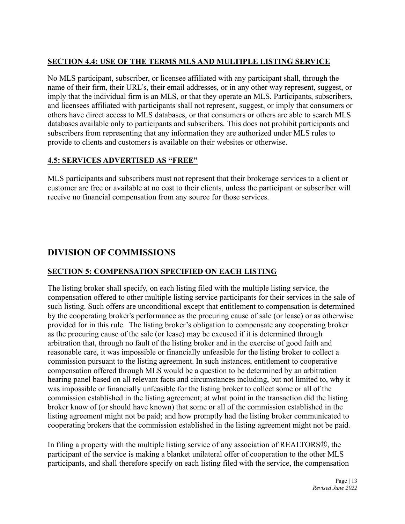# **SECTION 4.4: USE OF THE TERMS MLS AND MULTIPLE LISTING SERVICE**

No MLS participant, subscriber, or licensee affiliated with any participant shall, through the name of their firm, their URL's, their email addresses, or in any other way represent, suggest, or imply that the individual firm is an MLS, or that they operate an MLS. Participants, subscribers, and licensees affiliated with participants shall not represent, suggest, or imply that consumers or others have direct access to MLS databases, or that consumers or others are able to search MLS databases available only to participants and subscribers. This does not prohibit participants and subscribers from representing that any information they are authorized under MLS rules to provide to clients and customers is available on their websites or otherwise.

# **4.5: SERVICES ADVERTISED AS "FREE"**

MLS participants and subscribers must not represent that their brokerage services to a client or customer are free or available at no cost to their clients, unless the participant or subscriber will receive no financial compensation from any source for those services.

# **DIVISION OF COMMISSIONS**

# **SECTION 5: COMPENSATION SPECIFIED ON EACH LISTING**

The listing broker shall specify, on each listing filed with the multiple listing service, the compensation offered to other multiple listing service participants for their services in the sale of such listing. Such offers are unconditional except that entitlement to compensation is determined by the cooperating broker's performance as the procuring cause of sale (or lease) or as otherwise provided for in this rule. The listing broker's obligation to compensate any cooperating broker as the procuring cause of the sale (or lease) may be excused if it is determined through arbitration that, through no fault of the listing broker and in the exercise of good faith and reasonable care, it was impossible or financially unfeasible for the listing broker to collect a commission pursuant to the listing agreement. In such instances, entitlement to cooperative compensation offered through MLS would be a question to be determined by an arbitration hearing panel based on all relevant facts and circumstances including, but not limited to, why it was impossible or financially unfeasible for the listing broker to collect some or all of the commission established in the listing agreement; at what point in the transaction did the listing broker know of (or should have known) that some or all of the commission established in the listing agreement might not be paid; and how promptly had the listing broker communicated to cooperating brokers that the commission established in the listing agreement might not be paid.

In filing a property with the multiple listing service of any association of REALTORS®, the participant of the service is making a blanket unilateral offer of cooperation to the other MLS participants, and shall therefore specify on each listing filed with the service, the compensation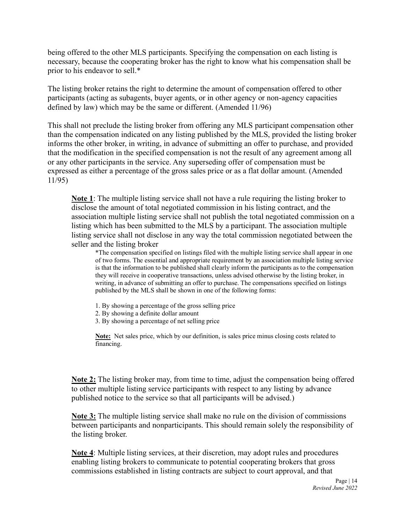being offered to the other MLS participants. Specifying the compensation on each listing is necessary, because the cooperating broker has the right to know what his compensation shall be prior to his endeavor to sell.\*

The listing broker retains the right to determine the amount of compensation offered to other participants (acting as subagents, buyer agents, or in other agency or non-agency capacities defined by law) which may be the same or different. (Amended 11/96)

This shall not preclude the listing broker from offering any MLS participant compensation other than the compensation indicated on any listing published by the MLS, provided the listing broker informs the other broker, in writing, in advance of submitting an offer to purchase, and provided that the modification in the specified compensation is not the result of any agreement among all or any other participants in the service. Any superseding offer of compensation must be expressed as either a percentage of the gross sales price or as a flat dollar amount. (Amended 11/95)

**Note 1**: The multiple listing service shall not have a rule requiring the listing broker to disclose the amount of total negotiated commission in his listing contract, and the association multiple listing service shall not publish the total negotiated commission on a listing which has been submitted to the MLS by a participant. The association multiple listing service shall not disclose in any way the total commission negotiated between the seller and the listing broker

\*The compensation specified on listings filed with the multiple listing service shall appear in one of two forms. The essential and appropriate requirement by an association multiple listing service is that the information to be published shall clearly inform the participants as to the compensation they will receive in cooperative transactions, unless advised otherwise by the listing broker, in writing, in advance of submitting an offer to purchase. The compensations specified on listings published by the MLS shall be shown in one of the following forms:

- 1. By showing a percentage of the gross selling price
- 2. By showing a definite dollar amount
- 3. By showing a percentage of net selling price

**Note:** Net sales price, which by our definition, is sales price minus closing costs related to financing.

**Note 2:** The listing broker may, from time to time, adjust the compensation being offered to other multiple listing service participants with respect to any listing by advance published notice to the service so that all participants will be advised.)

**Note 3:** The multiple listing service shall make no rule on the division of commissions between participants and nonparticipants. This should remain solely the responsibility of the listing broker.

**Note 4**: Multiple listing services, at their discretion, may adopt rules and procedures enabling listing brokers to communicate to potential cooperating brokers that gross commissions established in listing contracts are subject to court approval, and that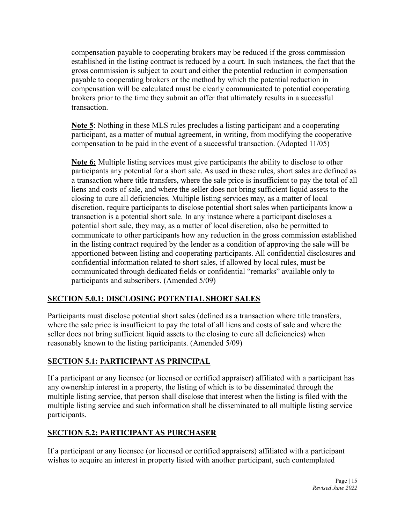compensation payable to cooperating brokers may be reduced if the gross commission established in the listing contract is reduced by a court. In such instances, the fact that the gross commission is subject to court and either the potential reduction in compensation payable to cooperating brokers or the method by which the potential reduction in compensation will be calculated must be clearly communicated to potential cooperating brokers prior to the time they submit an offer that ultimately results in a successful transaction.

**Note 5**: Nothing in these MLS rules precludes a listing participant and a cooperating participant, as a matter of mutual agreement, in writing, from modifying the cooperative compensation to be paid in the event of a successful transaction. (Adopted 11/05)

**Note 6:** Multiple listing services must give participants the ability to disclose to other participants any potential for a short sale. As used in these rules, short sales are defined as a transaction where title transfers, where the sale price is insufficient to pay the total of all liens and costs of sale, and where the seller does not bring sufficient liquid assets to the closing to cure all deficiencies. Multiple listing services may, as a matter of local discretion, require participants to disclose potential short sales when participants know a transaction is a potential short sale. In any instance where a participant discloses a potential short sale, they may, as a matter of local discretion, also be permitted to communicate to other participants how any reduction in the gross commission established in the listing contract required by the lender as a condition of approving the sale will be apportioned between listing and cooperating participants. All confidential disclosures and confidential information related to short sales, if allowed by local rules, must be communicated through dedicated fields or confidential "remarks" available only to participants and subscribers. (Amended 5/09)

# **SECTION 5.0.1: DISCLOSING POTENTIAL SHORT SALES**

Participants must disclose potential short sales (defined as a transaction where title transfers, where the sale price is insufficient to pay the total of all liens and costs of sale and where the seller does not bring sufficient liquid assets to the closing to cure all deficiencies) when reasonably known to the listing participants. (Amended 5/09)

# **SECTION 5.1: PARTICIPANT AS PRINCIPAL**

If a participant or any licensee (or licensed or certified appraiser) affiliated with a participant has any ownership interest in a property, the listing of which is to be disseminated through the multiple listing service, that person shall disclose that interest when the listing is filed with the multiple listing service and such information shall be disseminated to all multiple listing service participants.

# **SECTION 5.2: PARTICIPANT AS PURCHASER**

If a participant or any licensee (or licensed or certified appraisers) affiliated with a participant wishes to acquire an interest in property listed with another participant, such contemplated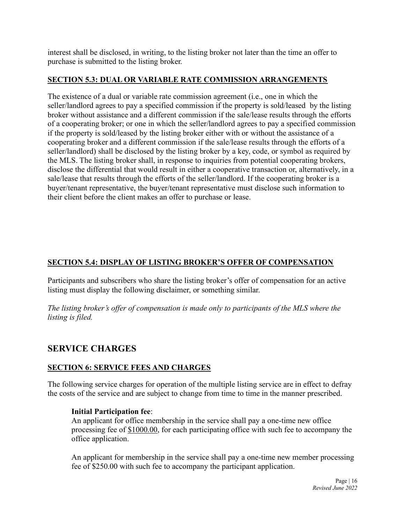interest shall be disclosed, in writing, to the listing broker not later than the time an offer to purchase is submitted to the listing broker.

#### **SECTION 5.3: DUAL OR VARIABLE RATE COMMISSION ARRANGEMENTS**

The existence of a dual or variable rate commission agreement (i.e., one in which the seller/landlord agrees to pay a specified commission if the property is sold/leased by the listing broker without assistance and a different commission if the sale/lease results through the efforts of a cooperating broker; or one in which the seller/landlord agrees to pay a specified commission if the property is sold/leased by the listing broker either with or without the assistance of a cooperating broker and a different commission if the sale/lease results through the efforts of a seller/landlord) shall be disclosed by the listing broker by a key, code, or symbol as required by the MLS. The listing broker shall, in response to inquiries from potential cooperating brokers, disclose the differential that would result in either a cooperative transaction or, alternatively, in a sale/lease that results through the efforts of the seller/landlord. If the cooperating broker is a buyer/tenant representative, the buyer/tenant representative must disclose such information to their client before the client makes an offer to purchase or lease.

# **SECTION 5.4: DISPLAY OF LISTING BROKER'S OFFER OF COMPENSATION**

Participants and subscribers who share the listing broker's offer of compensation for an active listing must display the following disclaimer, or something similar.

*The listing broker's offer of compensation is made only to participants of the MLS where the listing is filed.*

# **SERVICE CHARGES**

#### **SECTION 6: SERVICE FEES AND CHARGES**

The following service charges for operation of the multiple listing service are in effect to defray the costs of the service and are subject to change from time to time in the manner prescribed.

#### **Initial Participation fee**:

An applicant for office membership in the service shall pay a one-time new office processing fee of \$1000.00, for each participating office with such fee to accompany the office application.

An applicant for membership in the service shall pay a one-time new member processing fee of \$250.00 with such fee to accompany the participant application.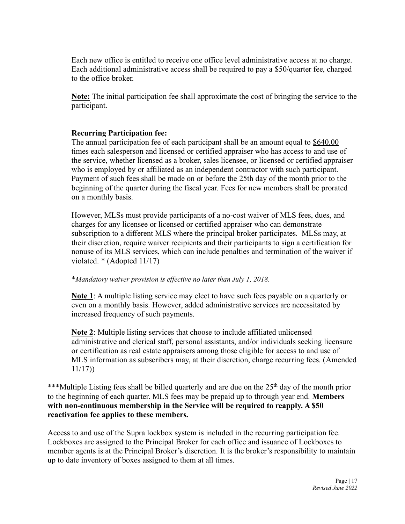Each new office is entitled to receive one office level administrative access at no charge. Each additional administrative access shall be required to pay a \$50/quarter fee, charged to the office broker.

**Note:** The initial participation fee shall approximate the cost of bringing the service to the participant.

#### **Recurring Participation fee:**

The annual participation fee of each participant shall be an amount equal to \$640.00 times each salesperson and licensed or certified appraiser who has access to and use of the service, whether licensed as a broker, sales licensee, or licensed or certified appraiser who is employed by or affiliated as an independent contractor with such participant. Payment of such fees shall be made on or before the 25th day of the month prior to the beginning of the quarter during the fiscal year. Fees for new members shall be prorated on a monthly basis.

However, MLSs must provide participants of a no-cost waiver of MLS fees, dues, and charges for any licensee or licensed or certified appraiser who can demonstrate subscription to a different MLS where the principal broker participates. MLSs may, at their discretion, require waiver recipients and their participants to sign a certification for nonuse of its MLS services, which can include penalties and termination of the waiver if violated. \* (Adopted 11/17)

#### \**Mandatory waiver provision is effective no later than July 1, 2018.*

**Note 1**: A multiple listing service may elect to have such fees payable on a quarterly or even on a monthly basis. However, added administrative services are necessitated by increased frequency of such payments.

**Note 2**: Multiple listing services that choose to include affiliated unlicensed administrative and clerical staff, personal assistants, and/or individuals seeking licensure or certification as real estate appraisers among those eligible for access to and use of MLS information as subscribers may, at their discretion, charge recurring fees. (Amended 11/17))

\*\*\*Multiple Listing fees shall be billed quarterly and are due on the 25<sup>th</sup> day of the month prior to the beginning of each quarter. MLS fees may be prepaid up to through year end. **Members with non-continuous membership in the Service will be required to reapply. A \$50 reactivation fee applies to these members.**

Access to and use of the Supra lockbox system is included in the recurring participation fee. Lockboxes are assigned to the Principal Broker for each office and issuance of Lockboxes to member agents is at the Principal Broker's discretion. It is the broker's responsibility to maintain up to date inventory of boxes assigned to them at all times.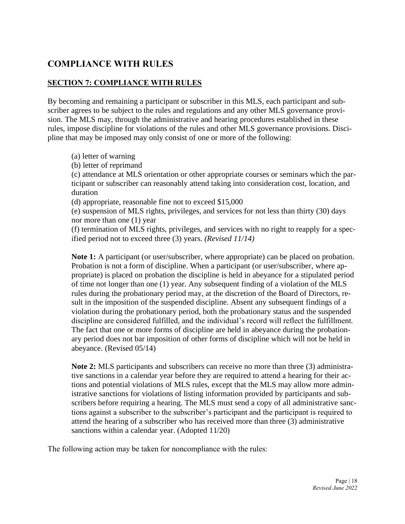# **COMPLIANCE WITH RULES**

#### **SECTION 7: COMPLIANCE WITH RULES**

By becoming and remaining a participant or subscriber in this MLS, each participant and subscriber agrees to be subject to the rules and regulations and any other MLS governance provision. The MLS may, through the administrative and hearing procedures established in these rules, impose discipline for violations of the rules and other MLS governance provisions. Discipline that may be imposed may only consist of one or more of the following:

- (a) letter of warning
- (b) letter of reprimand

(c) attendance at MLS orientation or other appropriate courses or seminars which the participant or subscriber can reasonably attend taking into consideration cost, location, and duration

(d) appropriate, reasonable fine not to exceed \$15,000

(e) suspension of MLS rights, privileges, and services for not less than thirty (30) days nor more than one (1) year

(f) termination of MLS rights, privileges, and services with no right to reapply for a specified period not to exceed three (3) years. *(Revised 11/14)*

**Note 1:** A participant (or user/subscriber, where appropriate) can be placed on probation. Probation is not a form of discipline. When a participant (or user/subscriber, where appropriate) is placed on probation the discipline is held in abeyance for a stipulated period of time not longer than one (1) year. Any subsequent finding of a violation of the MLS rules during the probationary period may, at the discretion of the Board of Directors, result in the imposition of the suspended discipline. Absent any subsequent findings of a violation during the probationary period, both the probationary status and the suspended discipline are considered fulfilled, and the individual's record will reflect the fulfillment. The fact that one or more forms of discipline are held in abeyance during the probationary period does not bar imposition of other forms of discipline which will not be held in abeyance. (Revised 05/14)

**Note 2:** MLS participants and subscribers can receive no more than three (3) administrative sanctions in a calendar year before they are required to attend a hearing for their actions and potential violations of MLS rules, except that the MLS may allow more administrative sanctions for violations of listing information provided by participants and subscribers before requiring a hearing. The MLS must send a copy of all administrative sanctions against a subscriber to the subscriber's participant and the participant is required to attend the hearing of a subscriber who has received more than three (3) administrative sanctions within a calendar year. (Adopted 11/20)

The following action may be taken for noncompliance with the rules: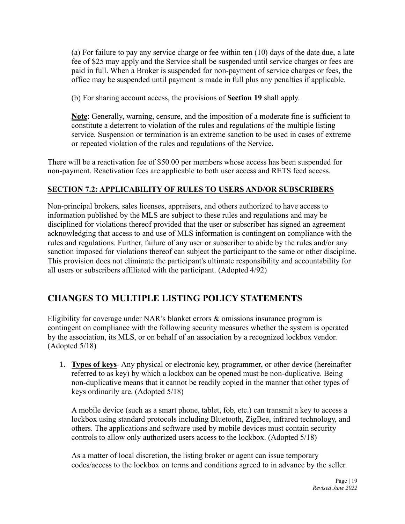(a) For failure to pay any service charge or fee within ten (10) days of the date due, a late fee of \$25 may apply and the Service shall be suspended until service charges or fees are paid in full. When a Broker is suspended for non-payment of service charges or fees, the office may be suspended until payment is made in full plus any penalties if applicable.

(b) For sharing account access, the provisions of **Section 19** shall apply.

**Note**: Generally, warning, censure, and the imposition of a moderate fine is sufficient to constitute a deterrent to violation of the rules and regulations of the multiple listing service. Suspension or termination is an extreme sanction to be used in cases of extreme or repeated violation of the rules and regulations of the Service.

There will be a reactivation fee of \$50.00 per members whose access has been suspended for non-payment. Reactivation fees are applicable to both user access and RETS feed access.

# **SECTION 7.2: APPLICABILITY OF RULES TO USERS AND/OR SUBSCRIBERS**

Non-principal brokers, sales licenses, appraisers, and others authorized to have access to information published by the MLS are subject to these rules and regulations and may be disciplined for violations thereof provided that the user or subscriber has signed an agreement acknowledging that access to and use of MLS information is contingent on compliance with the rules and regulations. Further, failure of any user or subscriber to abide by the rules and/or any sanction imposed for violations thereof can subject the participant to the same or other discipline. This provision does not eliminate the participant's ultimate responsibility and accountability for all users or subscribers affiliated with the participant. (Adopted 4/92)

# **CHANGES TO MULTIPLE LISTING POLICY STATEMENTS**

Eligibility for coverage under NAR's blanket errors & omissions insurance program is contingent on compliance with the following security measures whether the system is operated by the association, its MLS, or on behalf of an association by a recognized lockbox vendor. (Adopted 5/18)

1. **Types of keys**- Any physical or electronic key, programmer, or other device (hereinafter referred to as key) by which a lockbox can be opened must be non-duplicative. Being non-duplicative means that it cannot be readily copied in the manner that other types of keys ordinarily are. (Adopted 5/18)

A mobile device (such as a smart phone, tablet, fob, etc.) can transmit a key to access a lockbox using standard protocols including Bluetooth, ZigBee, infrared technology, and others. The applications and software used by mobile devices must contain security controls to allow only authorized users access to the lockbox. (Adopted 5/18)

As a matter of local discretion, the listing broker or agent can issue temporary codes/access to the lockbox on terms and conditions agreed to in advance by the seller.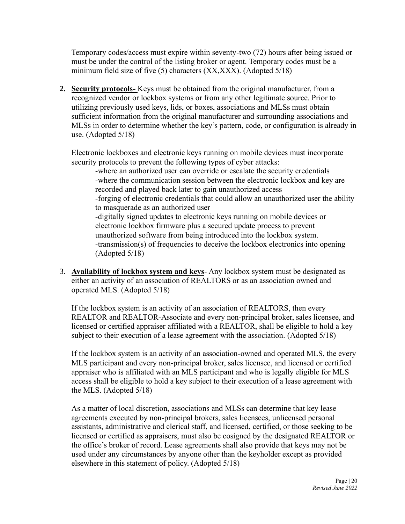Temporary codes/access must expire within seventy-two (72) hours after being issued or must be under the control of the listing broker or agent. Temporary codes must be a minimum field size of five (5) characters (XX,XXX). (Adopted 5/18)

**2. Security protocols-** Keys must be obtained from the original manufacturer, from a recognized vendor or lockbox systems or from any other legitimate source. Prior to utilizing previously used keys, lids, or boxes, associations and MLSs must obtain sufficient information from the original manufacturer and surrounding associations and MLSs in order to determine whether the key's pattern, code, or configuration is already in use. (Adopted 5/18)

Electronic lockboxes and electronic keys running on mobile devices must incorporate security protocols to prevent the following types of cyber attacks:

-where an authorized user can override or escalate the security credentials -where the communication session between the electronic lockbox and key are recorded and played back later to gain unauthorized access -forging of electronic credentials that could allow an unauthorized user the ability to masquerade as an authorized user -digitally signed updates to electronic keys running on mobile devices or electronic lockbox firmware plus a secured update process to prevent unauthorized software from being introduced into the lockbox system. -transmission(s) of frequencies to deceive the lockbox electronics into opening (Adopted 5/18)

3. **Availability of lockbox system and keys**- Any lockbox system must be designated as either an activity of an association of REALTORS or as an association owned and operated MLS. (Adopted 5/18)

If the lockbox system is an activity of an association of REALTORS, then every REALTOR and REALTOR-Associate and every non-principal broker, sales licensee, and licensed or certified appraiser affiliated with a REALTOR, shall be eligible to hold a key subject to their execution of a lease agreement with the association. (Adopted 5/18)

If the lockbox system is an activity of an association-owned and operated MLS, the every MLS participant and every non-principal broker, sales licensee, and licensed or certified appraiser who is affiliated with an MLS participant and who is legally eligible for MLS access shall be eligible to hold a key subject to their execution of a lease agreement with the MLS. (Adopted 5/18)

As a matter of local discretion, associations and MLSs can determine that key lease agreements executed by non-principal brokers, sales licensees, unlicensed personal assistants, administrative and clerical staff, and licensed, certified, or those seeking to be licensed or certified as appraisers, must also be cosigned by the designated REALTOR or the office's broker of record. Lease agreements shall also provide that keys may not be used under any circumstances by anyone other than the keyholder except as provided elsewhere in this statement of policy. (Adopted 5/18)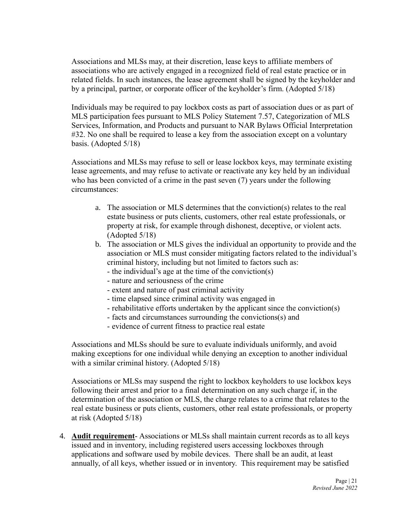Associations and MLSs may, at their discretion, lease keys to affiliate members of associations who are actively engaged in a recognized field of real estate practice or in related fields. In such instances, the lease agreement shall be signed by the keyholder and by a principal, partner, or corporate officer of the keyholder's firm. (Adopted 5/18)

Individuals may be required to pay lockbox costs as part of association dues or as part of MLS participation fees pursuant to MLS Policy Statement 7.57, Categorization of MLS Services, Information, and Products and pursuant to NAR Bylaws Official Interpretation #32. No one shall be required to lease a key from the association except on a voluntary basis. (Adopted 5/18)

Associations and MLSs may refuse to sell or lease lockbox keys, may terminate existing lease agreements, and may refuse to activate or reactivate any key held by an individual who has been convicted of a crime in the past seven (7) years under the following circumstances:

- a. The association or MLS determines that the conviction(s) relates to the real estate business or puts clients, customers, other real estate professionals, or property at risk, for example through dishonest, deceptive, or violent acts. (Adopted 5/18)
- b. The association or MLS gives the individual an opportunity to provide and the association or MLS must consider mitigating factors related to the individual's criminal history, including but not limited to factors such as:
	- the individual's age at the time of the conviction(s)
	- nature and seriousness of the crime
	- extent and nature of past criminal activity
	- time elapsed since criminal activity was engaged in
	- rehabilitative efforts undertaken by the applicant since the conviction(s)
	- facts and circumstances surrounding the convictions(s) and
	- evidence of current fitness to practice real estate

Associations and MLSs should be sure to evaluate individuals uniformly, and avoid making exceptions for one individual while denying an exception to another individual with a similar criminal history. (Adopted 5/18)

Associations or MLSs may suspend the right to lockbox keyholders to use lockbox keys following their arrest and prior to a final determination on any such charge if, in the determination of the association or MLS, the charge relates to a crime that relates to the real estate business or puts clients, customers, other real estate professionals, or property at risk (Adopted 5/18)

4. **Audit requirement**- Associations or MLSs shall maintain current records as to all keys issued and in inventory, including registered users accessing lockboxes through applications and software used by mobile devices. There shall be an audit, at least annually, of all keys, whether issued or in inventory. This requirement may be satisfied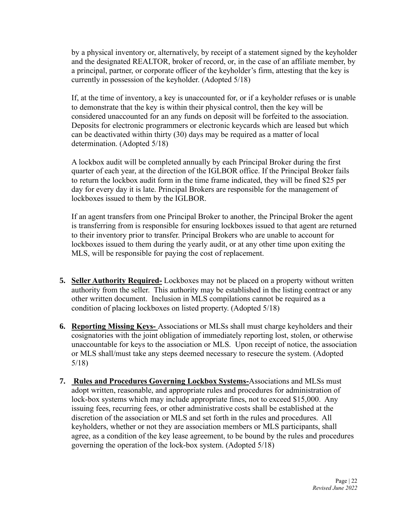by a physical inventory or, alternatively, by receipt of a statement signed by the keyholder and the designated REALTOR, broker of record, or, in the case of an affiliate member, by a principal, partner, or corporate officer of the keyholder's firm, attesting that the key is currently in possession of the keyholder. (Adopted 5/18)

If, at the time of inventory, a key is unaccounted for, or if a keyholder refuses or is unable to demonstrate that the key is within their physical control, then the key will be considered unaccounted for an any funds on deposit will be forfeited to the association. Deposits for electronic programmers or electronic keycards which are leased but which can be deactivated within thirty (30) days may be required as a matter of local determination. (Adopted 5/18)

A lockbox audit will be completed annually by each Principal Broker during the first quarter of each year, at the direction of the IGLBOR office. If the Principal Broker fails to return the lockbox audit form in the time frame indicated, they will be fined \$25 per day for every day it is late. Principal Brokers are responsible for the management of lockboxes issued to them by the IGLBOR.

If an agent transfers from one Principal Broker to another, the Principal Broker the agent is transferring from is responsible for ensuring lockboxes issued to that agent are returned to their inventory prior to transfer. Principal Brokers who are unable to account for lockboxes issued to them during the yearly audit, or at any other time upon exiting the MLS, will be responsible for paying the cost of replacement.

- **5. Seller Authority Required-** Lockboxes may not be placed on a property without written authority from the seller. This authority may be established in the listing contract or any other written document. Inclusion in MLS compilations cannot be required as a condition of placing lockboxes on listed property. (Adopted 5/18)
- **6. Reporting Missing Keys-** Associations or MLSs shall must charge keyholders and their cosignatories with the joint obligation of immediately reporting lost, stolen, or otherwise unaccountable for keys to the association or MLS. Upon receipt of notice, the association or MLS shall/must take any steps deemed necessary to resecure the system. (Adopted 5/18)
- **7. Rules and Procedures Governing Lockbox Systems-**Associations and MLSs must adopt written, reasonable, and appropriate rules and procedures for administration of lock-box systems which may include appropriate fines, not to exceed \$15,000. Any issuing fees, recurring fees, or other administrative costs shall be established at the discretion of the association or MLS and set forth in the rules and procedures. All keyholders, whether or not they are association members or MLS participants, shall agree, as a condition of the key lease agreement, to be bound by the rules and procedures governing the operation of the lock-box system. (Adopted 5/18)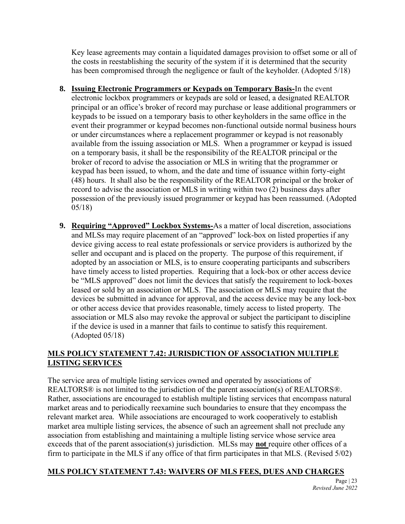Key lease agreements may contain a liquidated damages provision to offset some or all of the costs in reestablishing the security of the system if it is determined that the security has been compromised through the negligence or fault of the keyholder. (Adopted 5/18)

- **8. Issuing Electronic Programmers or Keypads on Temporary Basis-**In the event electronic lockbox programmers or keypads are sold or leased, a designated REALTOR principal or an office's broker of record may purchase or lease additional programmers or keypads to be issued on a temporary basis to other keyholders in the same office in the event their programmer or keypad becomes non-functional outside normal business hours or under circumstances where a replacement programmer or keypad is not reasonably available from the issuing association or MLS. When a programmer or keypad is issued on a temporary basis, it shall be the responsibility of the REALTOR principal or the broker of record to advise the association or MLS in writing that the programmer or keypad has been issued, to whom, and the date and time of issuance within forty-eight (48) hours. It shall also be the responsibility of the REALTOR principal or the broker of record to advise the association or MLS in writing within two (2) business days after possession of the previously issued programmer or keypad has been reassumed. (Adopted 05/18)
- **9. Requiring "Approved" Lockbox Systems-**As a matter of local discretion, associations and MLSs may require placement of an "approved" lock-box on listed properties if any device giving access to real estate professionals or service providers is authorized by the seller and occupant and is placed on the property. The purpose of this requirement, if adopted by an association or MLS, is to ensure cooperating participants and subscribers have timely access to listed properties. Requiring that a lock-box or other access device be "MLS approved" does not limit the devices that satisfy the requirement to lock-boxes leased or sold by an association or MLS. The association or MLS may require that the devices be submitted in advance for approval, and the access device may be any lock-box or other access device that provides reasonable, timely access to listed property. The association or MLS also may revoke the approval or subject the participant to discipline if the device is used in a manner that fails to continue to satisfy this requirement. (Adopted 05/18)

# **MLS POLICY STATEMENT 7.42: JURISDICTION OF ASSOCIATION MULTIPLE LISTING SERVICES**

The service area of multiple listing services owned and operated by associations of REALTORS® is not limited to the jurisdiction of the parent association(s) of REALTORS®. Rather, associations are encouraged to establish multiple listing services that encompass natural market areas and to periodically reexamine such boundaries to ensure that they encompass the relevant market area. While associations are encouraged to work cooperatively to establish market area multiple listing services, the absence of such an agreement shall not preclude any association from establishing and maintaining a multiple listing service whose service area exceeds that of the parent association(s) jurisdiction. MLSs may **not** require other offices of a firm to participate in the MLS if any office of that firm participates in that MLS. (Revised 5/02)

# **MLS POLICY STATEMENT 7.43: WAIVERS OF MLS FEES, DUES AND CHARGES**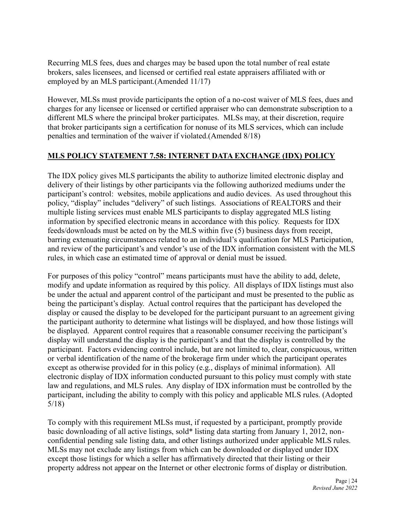Recurring MLS fees, dues and charges may be based upon the total number of real estate brokers, sales licensees, and licensed or certified real estate appraisers affiliated with or employed by an MLS participant.(Amended 11/17)

However, MLSs must provide participants the option of a no-cost waiver of MLS fees, dues and charges for any licensee or licensed or certified appraiser who can demonstrate subscription to a different MLS where the principal broker participates. MLSs may, at their discretion, require that broker participants sign a certification for nonuse of its MLS services, which can include penalties and termination of the waiver if violated.(Amended 8/18)

#### **MLS POLICY STATEMENT 7.58: INTERNET DATA EXCHANGE (IDX) POLICY**

The IDX policy gives MLS participants the ability to authorize limited electronic display and delivery of their listings by other participants via the following authorized mediums under the participant's control: websites, mobile applications and audio devices. As used throughout this policy, "display" includes "delivery" of such listings. Associations of REALTORS and their multiple listing services must enable MLS participants to display aggregated MLS listing information by specified electronic means in accordance with this policy. Requests for IDX feeds/downloads must be acted on by the MLS within five (5) business days from receipt, barring extenuating circumstances related to an individual's qualification for MLS Participation, and review of the participant's and vendor's use of the IDX information consistent with the MLS rules, in which case an estimated time of approval or denial must be issued.

For purposes of this policy "control" means participants must have the ability to add, delete, modify and update information as required by this policy. All displays of IDX listings must also be under the actual and apparent control of the participant and must be presented to the public as being the participant's display. Actual control requires that the participant has developed the display or caused the display to be developed for the participant pursuant to an agreement giving the participant authority to determine what listings will be displayed, and how those listings will be displayed. Apparent control requires that a reasonable consumer receiving the participant's display will understand the display is the participant's and that the display is controlled by the participant. Factors evidencing control include, but are not limited to, clear, conspicuous, written or verbal identification of the name of the brokerage firm under which the participant operates except as otherwise provided for in this policy (e.g., displays of minimal information). All electronic display of IDX information conducted pursuant to this policy must comply with state law and regulations, and MLS rules. Any display of IDX information must be controlled by the participant, including the ability to comply with this policy and applicable MLS rules. (Adopted 5/18)

To comply with this requirement MLSs must, if requested by a participant, promptly provide basic downloading of all active listings, sold\* listing data starting from January 1, 2012, nonconfidential pending sale listing data, and other listings authorized under applicable MLS rules. MLSs may not exclude any listings from which can be downloaded or displayed under IDX except those listings for which a seller has affirmatively directed that their listing or their property address not appear on the Internet or other electronic forms of display or distribution.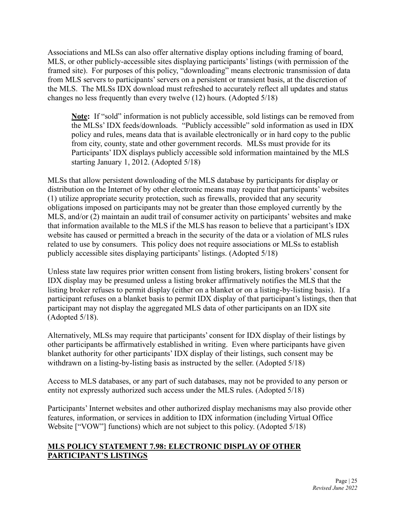Associations and MLSs can also offer alternative display options including framing of board, MLS, or other publicly-accessible sites displaying participants' listings (with permission of the framed site). For purposes of this policy, "downloading" means electronic transmission of data from MLS servers to participants' servers on a persistent or transient basis, at the discretion of the MLS. The MLSs IDX download must refreshed to accurately reflect all updates and status changes no less frequently than every twelve (12) hours. (Adopted 5/18)

**Note:** If "sold" information is not publicly accessible, sold listings can be removed from the MLSs' IDX feeds/downloads. "Publicly accessible" sold information as used in IDX policy and rules, means data that is available electronically or in hard copy to the public from city, county, state and other government records. MLSs must provide for its Participants' IDX displays publicly accessible sold information maintained by the MLS starting January 1, 2012. (Adopted 5/18)

MLSs that allow persistent downloading of the MLS database by participants for display or distribution on the Internet of by other electronic means may require that participants' websites (1) utilize appropriate security protection, such as firewalls, provided that any security obligations imposed on participants may not be greater than those employed currently by the MLS, and/or (2) maintain an audit trail of consumer activity on participants' websites and make that information available to the MLS if the MLS has reason to believe that a participant's IDX website has caused or permitted a breach in the security of the data or a violation of MLS rules related to use by consumers. This policy does not require associations or MLSs to establish publicly accessible sites displaying participants' listings. (Adopted 5/18)

Unless state law requires prior written consent from listing brokers, listing brokers' consent for IDX display may be presumed unless a listing broker affirmatively notifies the MLS that the listing broker refuses to permit display (either on a blanket or on a listing-by-listing basis). If a participant refuses on a blanket basis to permit IDX display of that participant's listings, then that participant may not display the aggregated MLS data of other participants on an IDX site (Adopted 5/18).

Alternatively, MLSs may require that participants' consent for IDX display of their listings by other participants be affirmatively established in writing. Even where participants have given blanket authority for other participants' IDX display of their listings, such consent may be withdrawn on a listing-by-listing basis as instructed by the seller. (Adopted 5/18)

Access to MLS databases, or any part of such databases, may not be provided to any person or entity not expressly authorized such access under the MLS rules. (Adopted 5/18)

Participants' Internet websites and other authorized display mechanisms may also provide other features, information, or services in addition to IDX information (including Virtual Office Website ["VOW"] functions) which are not subject to this policy. (Adopted 5/18)

#### **MLS POLICY STATEMENT 7.98: ELECTRONIC DISPLAY OF OTHER PARTICIPANT'S LISTINGS**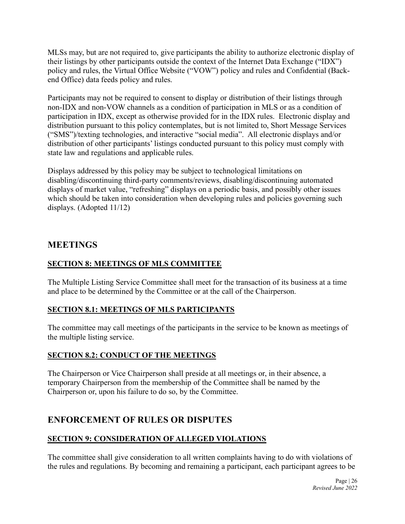MLSs may, but are not required to, give participants the ability to authorize electronic display of their listings by other participants outside the context of the Internet Data Exchange ("IDX") policy and rules, the Virtual Office Website ("VOW") policy and rules and Confidential (Backend Office) data feeds policy and rules.

Participants may not be required to consent to display or distribution of their listings through non-IDX and non-VOW channels as a condition of participation in MLS or as a condition of participation in IDX, except as otherwise provided for in the IDX rules. Electronic display and distribution pursuant to this policy contemplates, but is not limited to, Short Message Services ("SMS")/texting technologies, and interactive "social media". All electronic displays and/or distribution of other participants' listings conducted pursuant to this policy must comply with state law and regulations and applicable rules.

Displays addressed by this policy may be subject to technological limitations on disabling/discontinuing third-party comments/reviews, disabling/discontinuing automated displays of market value, "refreshing" displays on a periodic basis, and possibly other issues which should be taken into consideration when developing rules and policies governing such displays. (Adopted 11/12)

# **MEETINGS**

# **SECTION 8: MEETINGS OF MLS COMMITTEE**

The Multiple Listing Service Committee shall meet for the transaction of its business at a time and place to be determined by the Committee or at the call of the Chairperson.

#### **SECTION 8.1: MEETINGS OF MLS PARTICIPANTS**

The committee may call meetings of the participants in the service to be known as meetings of the multiple listing service.

#### **SECTION 8.2: CONDUCT OF THE MEETINGS**

The Chairperson or Vice Chairperson shall preside at all meetings or, in their absence, a temporary Chairperson from the membership of the Committee shall be named by the Chairperson or, upon his failure to do so, by the Committee.

# **ENFORCEMENT OF RULES OR DISPUTES**

# **SECTION 9: CONSIDERATION OF ALLEGED VIOLATIONS**

The committee shall give consideration to all written complaints having to do with violations of the rules and regulations. By becoming and remaining a participant, each participant agrees to be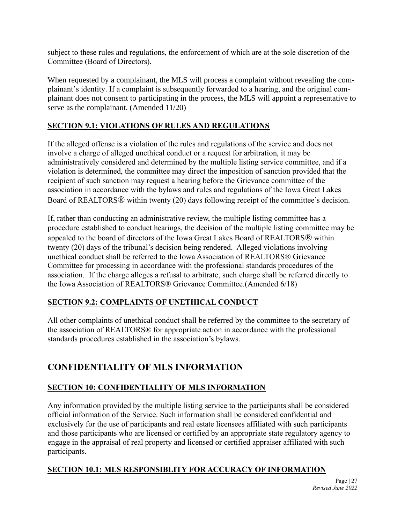subject to these rules and regulations, the enforcement of which are at the sole discretion of the Committee (Board of Directors).

When requested by a complainant, the MLS will process a complaint without revealing the complainant's identity. If a complaint is subsequently forwarded to a hearing, and the original complainant does not consent to participating in the process, the MLS will appoint a representative to serve as the complainant. (Amended 11/20)

# **SECTION 9.1: VIOLATIONS OF RULES AND REGULATIONS**

If the alleged offense is a violation of the rules and regulations of the service and does not involve a charge of alleged unethical conduct or a request for arbitration, it may be administratively considered and determined by the multiple listing service committee, and if a violation is determined, the committee may direct the imposition of sanction provided that the recipient of such sanction may request a hearing before the Grievance committee of the association in accordance with the bylaws and rules and regulations of the Iowa Great Lakes Board of REALTORS® within twenty (20) days following receipt of the committee's decision.

If, rather than conducting an administrative review, the multiple listing committee has a procedure established to conduct hearings, the decision of the multiple listing committee may be appealed to the board of directors of the Iowa Great Lakes Board of REALTORS® within twenty (20) days of the tribunal's decision being rendered. Alleged violations involving unethical conduct shall be referred to the Iowa Association of REALTORS® Grievance Committee for processing in accordance with the professional standards procedures of the association. If the charge alleges a refusal to arbitrate, such charge shall be referred directly to the Iowa Association of REALTORS® Grievance Committee.(Amended 6/18)

# **SECTION 9.2: COMPLAINTS OF UNETHICAL CONDUCT**

All other complaints of unethical conduct shall be referred by the committee to the secretary of the association of REALTORS® for appropriate action in accordance with the professional standards procedures established in the association's bylaws.

# **CONFIDENTIALITY OF MLS INFORMATION**

# **SECTION 10: CONFIDENTIALITY OF MLS INFORMATION**

Any information provided by the multiple listing service to the participants shall be considered official information of the Service. Such information shall be considered confidential and exclusively for the use of participants and real estate licensees affiliated with such participants and those participants who are licensed or certified by an appropriate state regulatory agency to engage in the appraisal of real property and licensed or certified appraiser affiliated with such participants.

# **SECTION 10.1: MLS RESPONSIBLITY FOR ACCURACY OF INFORMATION**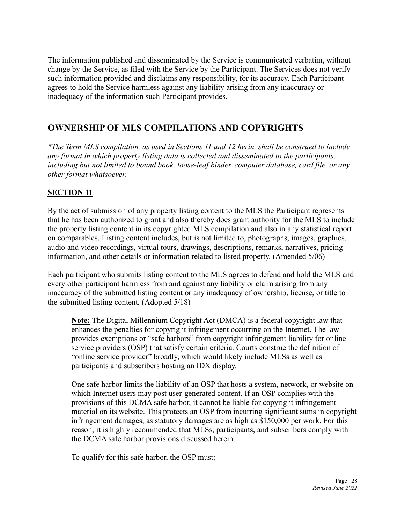The information published and disseminated by the Service is communicated verbatim, without change by the Service, as filed with the Service by the Participant. The Services does not verify such information provided and disclaims any responsibility, for its accuracy. Each Participant agrees to hold the Service harmless against any liability arising from any inaccuracy or inadequacy of the information such Participant provides.

# **OWNERSHIP OF MLS COMPILATIONS AND COPYRIGHTS**

*\*The Term MLS compilation, as used in Sections 11 and 12 herin, shall be construed to include any format in which property listing data is collected and disseminated to the participants, including but not limited to bound book, loose-leaf binder, computer database, card file, or any other format whatsoever.*

# **SECTION 11**

By the act of submission of any property listing content to the MLS the Participant represents that he has been authorized to grant and also thereby does grant authority for the MLS to include the property listing content in its copyrighted MLS compilation and also in any statistical report on comparables. Listing content includes, but is not limited to, photographs, images, graphics, audio and video recordings, virtual tours, drawings, descriptions, remarks, narratives, pricing information, and other details or information related to listed property. (Amended 5/06)

Each participant who submits listing content to the MLS agrees to defend and hold the MLS and every other participant harmless from and against any liability or claim arising from any inaccuracy of the submitted listing content or any inadequacy of ownership, license, or title to the submitted listing content. (Adopted 5/18)

**Note:** The Digital Millennium Copyright Act (DMCA) is a federal copyright law that enhances the penalties for copyright infringement occurring on the Internet. The law provides exemptions or "safe harbors" from copyright infringement liability for online service providers (OSP) that satisfy certain criteria. Courts construe the definition of "online service provider" broadly, which would likely include MLSs as well as participants and subscribers hosting an IDX display.

One safe harbor limits the liability of an OSP that hosts a system, network, or website on which Internet users may post user-generated content. If an OSP complies with the provisions of this DCMA safe harbor, it cannot be liable for copyright infringement material on its website. This protects an OSP from incurring significant sums in copyright infringement damages, as statutory damages are as high as \$150,000 per work. For this reason, it is highly recommended that MLSs, participants, and subscribers comply with the DCMA safe harbor provisions discussed herein.

To qualify for this safe harbor, the OSP must: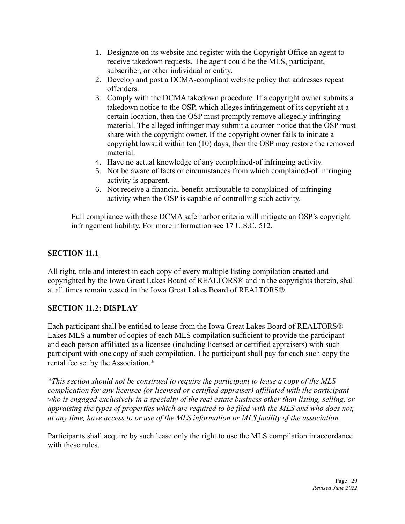- 1. Designate on its website and register with the Copyright Office an agent to receive takedown requests. The agent could be the MLS, participant, subscriber, or other individual or entity.
- 2. Develop and post a DCMA-compliant website policy that addresses repeat offenders.
- 3. Comply with the DCMA takedown procedure. If a copyright owner submits a takedown notice to the OSP, which alleges infringement of its copyright at a certain location, then the OSP must promptly remove allegedly infringing material. The alleged infringer may submit a counter-notice that the OSP must share with the copyright owner. If the copyright owner fails to initiate a copyright lawsuit within ten (10) days, then the OSP may restore the removed material.
- 4. Have no actual knowledge of any complained-of infringing activity.
- 5. Not be aware of facts or circumstances from which complained-of infringing activity is apparent.
- 6. Not receive a financial benefit attributable to complained-of infringing activity when the OSP is capable of controlling such activity.

Full compliance with these DCMA safe harbor criteria will mitigate an OSP's copyright infringement liability. For more information see 17 U.S.C. 512.

# **SECTION 11.1**

All right, title and interest in each copy of every multiple listing compilation created and copyrighted by the Iowa Great Lakes Board of REALTORS® and in the copyrights therein, shall at all times remain vested in the Iowa Great Lakes Board of REALTORS®.

# **SECTION 11.2: DISPLAY**

Each participant shall be entitled to lease from the Iowa Great Lakes Board of REALTORS® Lakes MLS a number of copies of each MLS compilation sufficient to provide the participant and each person affiliated as a licensee (including licensed or certified appraisers) with such participant with one copy of such compilation. The participant shall pay for each such copy the rental fee set by the Association.\*

*\*This section should not be construed to require the participant to lease a copy of the MLS complication for any licensee (or licensed or certified appraiser) affiliated with the participant who is engaged exclusively in a specialty of the real estate business other than listing, selling, or appraising the types of properties which are required to be filed with the MLS and who does not, at any time, have access to or use of the MLS information or MLS facility of the association.* 

Participants shall acquire by such lease only the right to use the MLS compilation in accordance with these rules.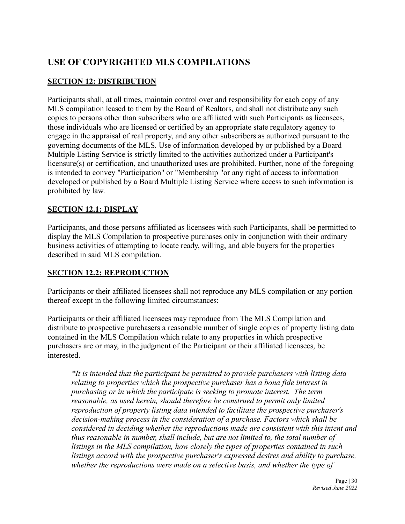# **USE OF COPYRIGHTED MLS COMPILATIONS**

# **SECTION 12: DISTRIBUTION**

Participants shall, at all times, maintain control over and responsibility for each copy of any MLS compilation leased to them by the Board of Realtors, and shall not distribute any such copies to persons other than subscribers who are affiliated with such Participants as licensees, those individuals who are licensed or certified by an appropriate state regulatory agency to engage in the appraisal of real property, and any other subscribers as authorized pursuant to the governing documents of the MLS. Use of information developed by or published by a Board Multiple Listing Service is strictly limited to the activities authorized under a Participant's licensure(s) or certification, and unauthorized uses are prohibited. Further, none of the foregoing is intended to convey "Participation" or "Membership "or any right of access to information developed or published by a Board Multiple Listing Service where access to such information is prohibited by law.

# **SECTION 12.1: DISPLAY**

Participants, and those persons affiliated as licensees with such Participants, shall be permitted to display the MLS Compilation to prospective purchases only in conjunction with their ordinary business activities of attempting to locate ready, willing, and able buyers for the properties described in said MLS compilation.

# **SECTION 12.2: REPRODUCTION**

Participants or their affiliated licensees shall not reproduce any MLS compilation or any portion thereof except in the following limited circumstances:

Participants or their affiliated licensees may reproduce from The MLS Compilation and distribute to prospective purchasers a reasonable number of single copies of property listing data contained in the MLS Compilation which relate to any properties in which prospective purchasers are or may, in the judgment of the Participant or their affiliated licensees, be interested.

*\*It is intended that the participant be permitted to provide purchasers with listing data relating to properties which the prospective purchaser has a bona fide interest in purchasing or in which the participate is seeking to promote interest. The term reasonable, as used herein, should therefore be construed to permit only limited reproduction of property listing data intended to facilitate the prospective purchaser's decision-making process in the consideration of a purchase. Factors which shall be considered in deciding whether the reproductions made are consistent with this intent and thus reasonable in number, shall include, but are not limited to, the total number of listings in the MLS compilation, how closely the types of properties contained in such listings accord with the prospective purchaser's expressed desires and ability to purchase, whether the reproductions were made on a selective basis, and whether the type of*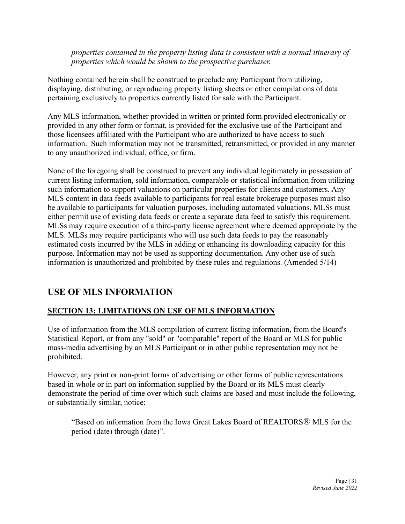*properties contained in the property listing data is consistent with a normal itinerary of properties which would be shown to the prospective purchaser.*

Nothing contained herein shall be construed to preclude any Participant from utilizing, displaying, distributing, or reproducing property listing sheets or other compilations of data pertaining exclusively to properties currently listed for sale with the Participant.

Any MLS information, whether provided in written or printed form provided electronically or provided in any other form or format, is provided for the exclusive use of the Participant and those licensees affiliated with the Participant who are authorized to have access to such information. Such information may not be transmitted, retransmitted, or provided in any manner to any unauthorized individual, office, or firm.

None of the foregoing shall be construed to prevent any individual legitimately in possession of current listing information, sold information, comparable or statistical information from utilizing such information to support valuations on particular properties for clients and customers. Any MLS content in data feeds available to participants for real estate brokerage purposes must also be available to participants for valuation purposes, including automated valuations. MLSs must either permit use of existing data feeds or create a separate data feed to satisfy this requirement. MLSs may require execution of a third-party license agreement where deemed appropriate by the MLS. MLSs may require participants who will use such data feeds to pay the reasonably estimated costs incurred by the MLS in adding or enhancing its downloading capacity for this purpose. Information may not be used as supporting documentation. Any other use of such information is unauthorized and prohibited by these rules and regulations. (Amended 5/14)

# **USE OF MLS INFORMATION**

# **SECTION 13: LIMITATIONS ON USE OF MLS INFORMATION**

Use of information from the MLS compilation of current listing information, from the Board's Statistical Report, or from any "sold" or "comparable" report of the Board or MLS for public mass-media advertising by an MLS Participant or in other public representation may not be prohibited.

However, any print or non-print forms of advertising or other forms of public representations based in whole or in part on information supplied by the Board or its MLS must clearly demonstrate the period of time over which such claims are based and must include the following, or substantially similar, notice:

"Based on information from the Iowa Great Lakes Board of REALTORS® MLS for the period (date) through (date)".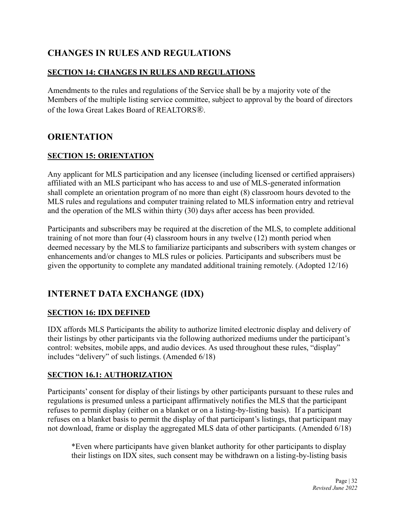# **CHANGES IN RULES AND REGULATIONS**

# **SECTION 14: CHANGES IN RULES AND REGULATIONS**

Amendments to the rules and regulations of the Service shall be by a majority vote of the Members of the multiple listing service committee, subject to approval by the board of directors of the Iowa Great Lakes Board of REALTORS®.

# **ORIENTATION**

# **SECTION 15: ORIENTATION**

Any applicant for MLS participation and any licensee (including licensed or certified appraisers) affiliated with an MLS participant who has access to and use of MLS-generated information shall complete an orientation program of no more than eight (8) classroom hours devoted to the MLS rules and regulations and computer training related to MLS information entry and retrieval and the operation of the MLS within thirty (30) days after access has been provided.

Participants and subscribers may be required at the discretion of the MLS, to complete additional training of not more than four (4) classroom hours in any twelve (12) month period when deemed necessary by the MLS to familiarize participants and subscribers with system changes or enhancements and/or changes to MLS rules or policies. Participants and subscribers must be given the opportunity to complete any mandated additional training remotely. (Adopted 12/16)

# **INTERNET DATA EXCHANGE (IDX)**

# **SECTION 16: IDX DEFINED**

IDX affords MLS Participants the ability to authorize limited electronic display and delivery of their listings by other participants via the following authorized mediums under the participant's control: websites, mobile apps, and audio devices. As used throughout these rules, "display" includes "delivery" of such listings. (Amended 6/18)

#### **SECTION 16.1: AUTHORIZATION**

Participants' consent for display of their listings by other participants pursuant to these rules and regulations is presumed unless a participant affirmatively notifies the MLS that the participant refuses to permit display (either on a blanket or on a listing-by-listing basis). If a participant refuses on a blanket basis to permit the display of that participant's listings, that participant may not download, frame or display the aggregated MLS data of other participants. (Amended 6/18)

\*Even where participants have given blanket authority for other participants to display their listings on IDX sites, such consent may be withdrawn on a listing-by-listing basis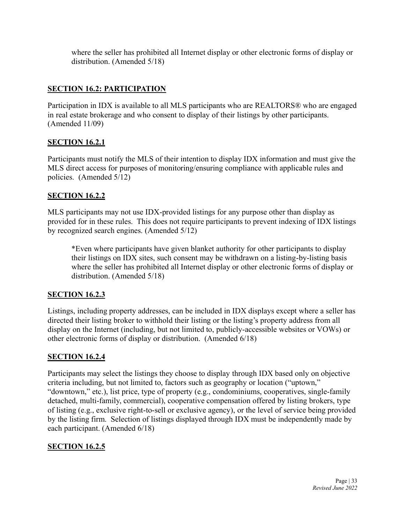where the seller has prohibited all Internet display or other electronic forms of display or distribution. (Amended 5/18)

#### **SECTION 16.2: PARTICIPATION**

Participation in IDX is available to all MLS participants who are REALTORS® who are engaged in real estate brokerage and who consent to display of their listings by other participants. (Amended 11/09)

#### **SECTION 16.2.1**

Participants must notify the MLS of their intention to display IDX information and must give the MLS direct access for purposes of monitoring/ensuring compliance with applicable rules and policies. (Amended 5/12)

#### **SECTION 16.2.2**

MLS participants may not use IDX-provided listings for any purpose other than display as provided for in these rules. This does not require participants to prevent indexing of IDX listings by recognized search engines. (Amended 5/12)

\*Even where participants have given blanket authority for other participants to display their listings on IDX sites, such consent may be withdrawn on a listing-by-listing basis where the seller has prohibited all Internet display or other electronic forms of display or distribution. (Amended 5/18)

# **SECTION 16.2.3**

Listings, including property addresses, can be included in IDX displays except where a seller has directed their listing broker to withhold their listing or the listing's property address from all display on the Internet (including, but not limited to, publicly-accessible websites or VOWs) or other electronic forms of display or distribution. (Amended 6/18)

#### **SECTION 16.2.4**

Participants may select the listings they choose to display through IDX based only on objective criteria including, but not limited to, factors such as geography or location ("uptown," "downtown," etc.), list price, type of property (e.g., condominiums, cooperatives, single-family detached, multi-family, commercial), cooperative compensation offered by listing brokers, type of listing (e.g., exclusive right-to-sell or exclusive agency), or the level of service being provided by the listing firm. Selection of listings displayed through IDX must be independently made by each participant. (Amended 6/18)

#### **SECTION 16.2.5**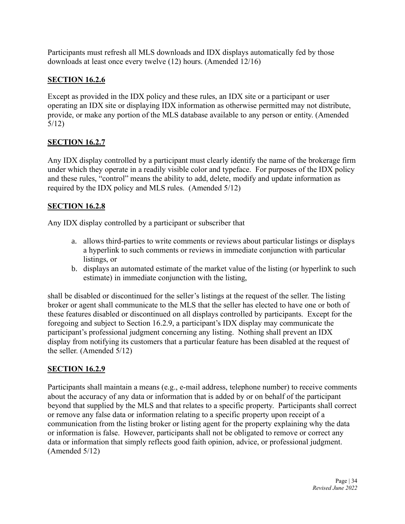Participants must refresh all MLS downloads and IDX displays automatically fed by those downloads at least once every twelve (12) hours. (Amended 12/16)

# **SECTION 16.2.6**

Except as provided in the IDX policy and these rules, an IDX site or a participant or user operating an IDX site or displaying IDX information as otherwise permitted may not distribute, provide, or make any portion of the MLS database available to any person or entity. (Amended 5/12)

# **SECTION 16.2.7**

Any IDX display controlled by a participant must clearly identify the name of the brokerage firm under which they operate in a readily visible color and typeface. For purposes of the IDX policy and these rules, "control" means the ability to add, delete, modify and update information as required by the IDX policy and MLS rules. (Amended 5/12)

#### **SECTION 16.2.8**

Any IDX display controlled by a participant or subscriber that

- a. allows third-parties to write comments or reviews about particular listings or displays a hyperlink to such comments or reviews in immediate conjunction with particular listings, or
- b. displays an automated estimate of the market value of the listing (or hyperlink to such estimate) in immediate conjunction with the listing,

shall be disabled or discontinued for the seller's listings at the request of the seller. The listing broker or agent shall communicate to the MLS that the seller has elected to have one or both of these features disabled or discontinued on all displays controlled by participants. Except for the foregoing and subject to Section 16.2.9, a participant's IDX display may communicate the participant's professional judgment concerning any listing. Nothing shall prevent an IDX display from notifying its customers that a particular feature has been disabled at the request of the seller. (Amended 5/12)

#### **SECTION 16.2.9**

Participants shall maintain a means (e.g., e-mail address, telephone number) to receive comments about the accuracy of any data or information that is added by or on behalf of the participant beyond that supplied by the MLS and that relates to a specific property. Participants shall correct or remove any false data or information relating to a specific property upon receipt of a communication from the listing broker or listing agent for the property explaining why the data or information is false. However, participants shall not be obligated to remove or correct any data or information that simply reflects good faith opinion, advice, or professional judgment. (Amended 5/12)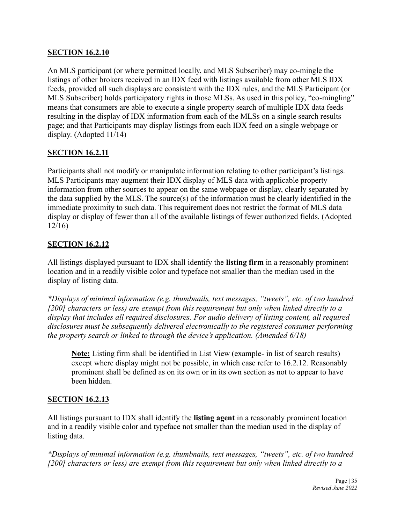#### **SECTION 16.2.10**

An MLS participant (or where permitted locally, and MLS Subscriber) may co-mingle the listings of other brokers received in an IDX feed with listings available from other MLS IDX feeds, provided all such displays are consistent with the IDX rules, and the MLS Participant (or MLS Subscriber) holds participatory rights in those MLSs. As used in this policy, "co-mingling" means that consumers are able to execute a single property search of multiple IDX data feeds resulting in the display of IDX information from each of the MLSs on a single search results page; and that Participants may display listings from each IDX feed on a single webpage or display. (Adopted 11/14)

# **SECTION 16.2.11**

Participants shall not modify or manipulate information relating to other participant's listings. MLS Participants may augment their IDX display of MLS data with applicable property information from other sources to appear on the same webpage or display, clearly separated by the data supplied by the MLS. The source(s) of the information must be clearly identified in the immediate proximity to such data. This requirement does not restrict the format of MLS data display or display of fewer than all of the available listings of fewer authorized fields. (Adopted 12/16)

#### **SECTION 16.2.12**

All listings displayed pursuant to IDX shall identify the **listing firm** in a reasonably prominent location and in a readily visible color and typeface not smaller than the median used in the display of listing data.

*\*Displays of minimal information (e.g. thumbnails, text messages, "tweets", etc. of two hundred [200] characters or less) are exempt from this requirement but only when linked directly to a display that includes all required disclosures. For audio delivery of listing content, all required disclosures must be subsequently delivered electronically to the registered consumer performing the property search or linked to through the device's application. (Amended 6/18)*

**Note:** Listing firm shall be identified in List View (example- in list of search results) except where display might not be possible, in which case refer to 16.2.12. Reasonably prominent shall be defined as on its own or in its own section as not to appear to have been hidden.

#### **SECTION 16.2.13**

All listings pursuant to IDX shall identify the **listing agent** in a reasonably prominent location and in a readily visible color and typeface not smaller than the median used in the display of listing data.

*\*Displays of minimal information (e.g. thumbnails, text messages, "tweets", etc. of two hundred [200] characters or less) are exempt from this requirement but only when linked directly to a*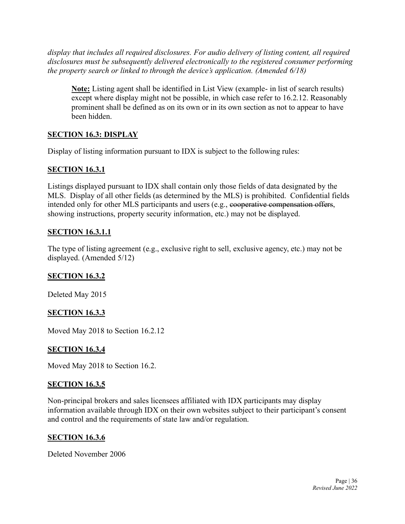*display that includes all required disclosures. For audio delivery of listing content, all required disclosures must be subsequently delivered electronically to the registered consumer performing the property search or linked to through the device's application. (Amended 6/18)*

**Note:** Listing agent shall be identified in List View (example- in list of search results) except where display might not be possible, in which case refer to 16.2.12. Reasonably prominent shall be defined as on its own or in its own section as not to appear to have been hidden.

# **SECTION 16.3: DISPLAY**

Display of listing information pursuant to IDX is subject to the following rules:

#### **SECTION 16.3.1**

Listings displayed pursuant to IDX shall contain only those fields of data designated by the MLS. Display of all other fields (as determined by the MLS) is prohibited. Confidential fields intended only for other MLS participants and users (e.g., cooperative compensation offers, showing instructions, property security information, etc.) may not be displayed.

#### **SECTION 16.3.1.1**

The type of listing agreement (e.g., exclusive right to sell, exclusive agency, etc.) may not be displayed. (Amended 5/12)

#### **SECTION 16.3.2**

Deleted May 2015

#### **SECTION 16.3.3**

Moved May 2018 to Section 16.2.12

#### **SECTION 16.3.4**

Moved May 2018 to Section 16.2.

#### **SECTION 16.3.5**

Non-principal brokers and sales licensees affiliated with IDX participants may display information available through IDX on their own websites subject to their participant's consent and control and the requirements of state law and/or regulation.

#### **SECTION 16.3.6**

Deleted November 2006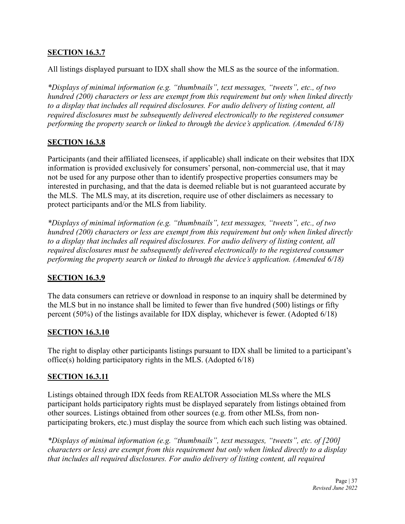#### **SECTION 16.3.7**

All listings displayed pursuant to IDX shall show the MLS as the source of the information.

*\*Displays of minimal information (e.g. "thumbnails", text messages, "tweets", etc., of two hundred (200) characters or less are exempt from this requirement but only when linked directly to a display that includes all required disclosures. For audio delivery of listing content, all required disclosures must be subsequently delivered electronically to the registered consumer performing the property search or linked to through the device's application. (Amended 6/18)*

#### **SECTION 16.3.8**

Participants (and their affiliated licensees, if applicable) shall indicate on their websites that IDX information is provided exclusively for consumers' personal, non-commercial use, that it may not be used for any purpose other than to identify prospective properties consumers may be interested in purchasing, and that the data is deemed reliable but is not guaranteed accurate by the MLS. The MLS may, at its discretion, require use of other disclaimers as necessary to protect participants and/or the MLS from liability.

*\*Displays of minimal information (e.g. "thumbnails", text messages, "tweets", etc., of two hundred (200) characters or less are exempt from this requirement but only when linked directly to a display that includes all required disclosures. For audio delivery of listing content, all required disclosures must be subsequently delivered electronically to the registered consumer performing the property search or linked to through the device's application. (Amended 6/18)*

#### **SECTION 16.3.9**

The data consumers can retrieve or download in response to an inquiry shall be determined by the MLS but in no instance shall be limited to fewer than five hundred (500) listings or fifty percent (50%) of the listings available for IDX display, whichever is fewer. (Adopted 6/18)

#### **SECTION 16.3.10**

The right to display other participants listings pursuant to IDX shall be limited to a participant's office(s) holding participatory rights in the MLS. (Adopted 6/18)

#### **SECTION 16.3.11**

Listings obtained through IDX feeds from REALTOR Association MLSs where the MLS participant holds participatory rights must be displayed separately from listings obtained from other sources. Listings obtained from other sources (e.g. from other MLSs, from nonparticipating brokers, etc.) must display the source from which each such listing was obtained.

*\*Displays of minimal information (e.g. "thumbnails", text messages, "tweets", etc. of [200] characters or less) are exempt from this requirement but only when linked directly to a display that includes all required disclosures. For audio delivery of listing content, all required*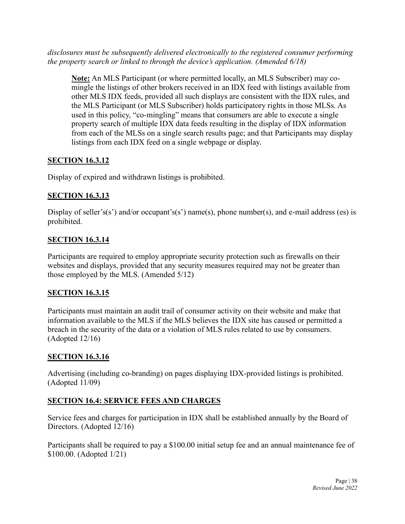*disclosures must be subsequently delivered electronically to the registered consumer performing the property search or linked to through the device's application. (Amended 6/18)*

**Note:** An MLS Participant (or where permitted locally, an MLS Subscriber) may comingle the listings of other brokers received in an IDX feed with listings available from other MLS IDX feeds, provided all such displays are consistent with the IDX rules, and the MLS Participant (or MLS Subscriber) holds participatory rights in those MLSs. As used in this policy, "co-mingling" means that consumers are able to execute a single property search of multiple IDX data feeds resulting in the display of IDX information from each of the MLSs on a single search results page; and that Participants may display listings from each IDX feed on a single webpage or display.

# **SECTION 16.3.12**

Display of expired and withdrawn listings is prohibited.

#### **SECTION 16.3.13**

Display of seller's(s') and/or occupant's(s') name(s), phone number(s), and e-mail address (es) is prohibited.

#### **SECTION 16.3.14**

Participants are required to employ appropriate security protection such as firewalls on their websites and displays, provided that any security measures required may not be greater than those employed by the MLS. (Amended 5/12)

# **SECTION 16.3.15**

Participants must maintain an audit trail of consumer activity on their website and make that information available to the MLS if the MLS believes the IDX site has caused or permitted a breach in the security of the data or a violation of MLS rules related to use by consumers. (Adopted 12/16)

# **SECTION 16.3.16**

Advertising (including co-branding) on pages displaying IDX-provided listings is prohibited. (Adopted 11/09)

# **SECTION 16.4: SERVICE FEES AND CHARGES**

Service fees and charges for participation in IDX shall be established annually by the Board of Directors. (Adopted 12/16)

Participants shall be required to pay a \$100.00 initial setup fee and an annual maintenance fee of \$100.00. (Adopted 1/21)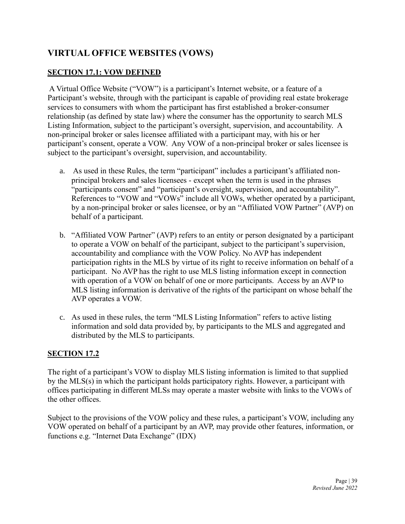# **VIRTUAL OFFICE WEBSITES (VOWS)**

#### **SECTION 17.1: VOW DEFINED**

A Virtual Office Website ("VOW") is a participant's Internet website, or a feature of a Participant's website, through with the participant is capable of providing real estate brokerage services to consumers with whom the participant has first established a broker-consumer relationship (as defined by state law) where the consumer has the opportunity to search MLS Listing Information, subject to the participant's oversight, supervision, and accountability. A non-principal broker or sales licensee affiliated with a participant may, with his or her participant's consent, operate a VOW. Any VOW of a non-principal broker or sales licensee is subject to the participant's oversight, supervision, and accountability.

- a. As used in these Rules, the term "participant" includes a participant's affiliated nonprincipal brokers and sales licensees - except when the term is used in the phrases "participants consent" and "participant's oversight, supervision, and accountability". References to "VOW and "VOWs" include all VOWs, whether operated by a participant, by a non-principal broker or sales licensee, or by an "Affiliated VOW Partner" (AVP) on behalf of a participant.
- b. "Affiliated VOW Partner" (AVP) refers to an entity or person designated by a participant to operate a VOW on behalf of the participant, subject to the participant's supervision, accountability and compliance with the VOW Policy. No AVP has independent participation rights in the MLS by virtue of its right to receive information on behalf of a participant. No AVP has the right to use MLS listing information except in connection with operation of a VOW on behalf of one or more participants. Access by an AVP to MLS listing information is derivative of the rights of the participant on whose behalf the AVP operates a VOW.
- c. As used in these rules, the term "MLS Listing Information" refers to active listing information and sold data provided by, by participants to the MLS and aggregated and distributed by the MLS to participants.

#### **SECTION 17.2**

The right of a participant's VOW to display MLS listing information is limited to that supplied by the MLS(s) in which the participant holds participatory rights. However, a participant with offices participating in different MLSs may operate a master website with links to the VOWs of the other offices.

Subject to the provisions of the VOW policy and these rules, a participant's VOW, including any VOW operated on behalf of a participant by an AVP, may provide other features, information, or functions e.g. "Internet Data Exchange" (IDX)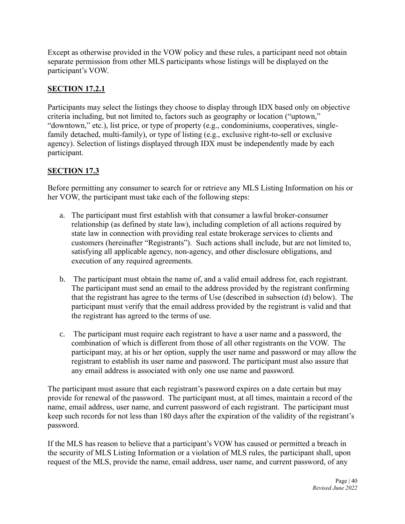Except as otherwise provided in the VOW policy and these rules, a participant need not obtain separate permission from other MLS participants whose listings will be displayed on the participant's VOW.

# **SECTION 17.2.1**

Participants may select the listings they choose to display through IDX based only on objective criteria including, but not limited to, factors such as geography or location ("uptown," "downtown," etc.), list price, or type of property (e.g., condominiums, cooperatives, singlefamily detached, multi-family), or type of listing (e.g., exclusive right-to-sell or exclusive agency). Selection of listings displayed through IDX must be independently made by each participant.

# **SECTION 17.3**

Before permitting any consumer to search for or retrieve any MLS Listing Information on his or her VOW, the participant must take each of the following steps:

- a. The participant must first establish with that consumer a lawful broker-consumer relationship (as defined by state law), including completion of all actions required by state law in connection with providing real estate brokerage services to clients and customers (hereinafter "Registrants"). Such actions shall include, but are not limited to, satisfying all applicable agency, non-agency, and other disclosure obligations, and execution of any required agreements.
- b. The participant must obtain the name of, and a valid email address for, each registrant. The participant must send an email to the address provided by the registrant confirming that the registrant has agree to the terms of Use (described in subsection (d) below). The participant must verify that the email address provided by the registrant is valid and that the registrant has agreed to the terms of use.
- c. The participant must require each registrant to have a user name and a password, the combination of which is different from those of all other registrants on the VOW. The participant may, at his or her option, supply the user name and password or may allow the registrant to establish its user name and password. The participant must also assure that any email address is associated with only one use name and password.

The participant must assure that each registrant's password expires on a date certain but may provide for renewal of the password. The participant must, at all times, maintain a record of the name, email address, user name, and current password of each registrant. The participant must keep such records for not less than 180 days after the expiration of the validity of the registrant's password.

If the MLS has reason to believe that a participant's VOW has caused or permitted a breach in the security of MLS Listing Information or a violation of MLS rules, the participant shall, upon request of the MLS, provide the name, email address, user name, and current password, of any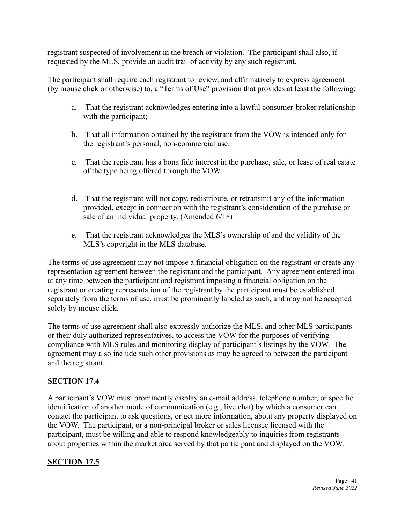registrant suspected of involvement in the breach or violation. The participant shall also, if requested by the MLS, provide an audit trail of activity by any such registrant.

The participant shall require each registrant to review, and affirmatively to express agreement (by mouse click or otherwise) to, a "Terms of Use" provision that provides at least the following:

- a. That the registrant acknowledges entering into a lawful consumer-broker relationship with the participant;
- b. That all information obtained by the registrant from the VOW is intended only for the registrant's personal, non-commercial use.
- c. That the registrant has a bona fide interest in the purchase, sale, or lease of real estate of the type being offered through the VOW.
- d. That the registrant will not copy, redistribute, or retransmit any of the information provided, except in connection with the registrant's consideration of the purchase or sale of an individual property. (Amended 6/18)
- e. That the registrant acknowledges the MLS's ownership of and the validity of the MLS's copyright in the MLS database.

The terms of use agreement may not impose a financial obligation on the registrant or create any representation agreement between the registrant and the participant. Any agreement entered into at any time between the participant and registrant imposing a financial obligation on the registrant or creating representation of the registrant by the participant must be established separately from the terms of use, must be prominently labeled as such, and may not be accepted solely by mouse click.

The terms of use agreement shall also expressly authorize the MLS, and other MLS participants or their duly authorized representatives, to access the VOW for the purposes of verifying compliance with MLS rules and monitoring display of participant's listings by the VOW. The agreement may also include such other provisions as may be agreed to between the participant and the registrant.

# **SECTION 17.4**

A participant's VOW must prominently display an e-mail address, telephone number, or specific identification of another mode of communication (e.g., live chat) by which a consumer can contact the participant to ask questions, or get more information, about any property displayed on the VOW. The participant, or a non-principal broker or sales licensee licensed with the participant, must be willing and able to respond knowledgeably to inquiries from registrants about properties within the market area served by that participant and displayed on the VOW.

#### **SECTION 17.5**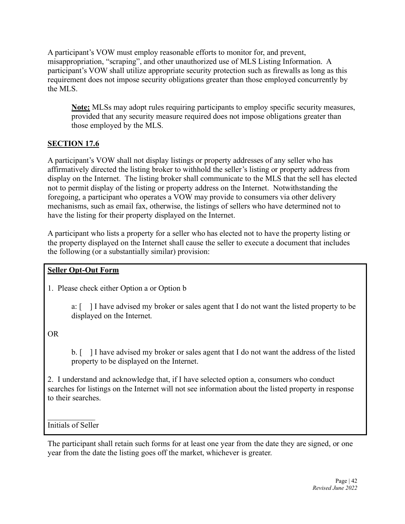A participant's VOW must employ reasonable efforts to monitor for, and prevent, misappropriation, "scraping", and other unauthorized use of MLS Listing Information. A participant's VOW shall utilize appropriate security protection such as firewalls as long as this requirement does not impose security obligations greater than those employed concurrently by the MLS.

**Note:** MLSs may adopt rules requiring participants to employ specific security measures, provided that any security measure required does not impose obligations greater than those employed by the MLS.

# **SECTION 17.6**

A participant's VOW shall not display listings or property addresses of any seller who has affirmatively directed the listing broker to withhold the seller's listing or property address from display on the Internet. The listing broker shall communicate to the MLS that the sell has elected not to permit display of the listing or property address on the Internet. Notwithstanding the foregoing, a participant who operates a VOW may provide to consumers via other delivery mechanisms, such as email fax, otherwise, the listings of sellers who have determined not to have the listing for their property displayed on the Internet.

A participant who lists a property for a seller who has elected not to have the property listing or the property displayed on the Internet shall cause the seller to execute a document that includes the following (or a substantially similar) provision:

# **Seller Opt-Out Form**

1. Please check either Option a or Option b

a: [ ] I have advised my broker or sales agent that I do not want the listed property to be displayed on the Internet.

OR

b. [ ] I have advised my broker or sales agent that I do not want the address of the listed property to be displayed on the Internet.

2. I understand and acknowledge that, if I have selected option a, consumers who conduct searches for listings on the Internet will not see information about the listed property in response to their searches.

Initials of Seller

The participant shall retain such forms for at least one year from the date they are signed, or one year from the date the listing goes off the market, whichever is greater.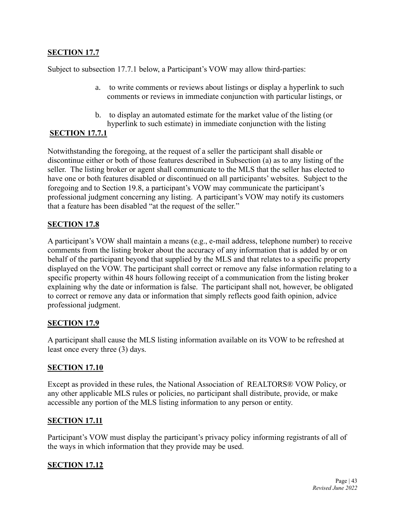#### **SECTION 17.7**

Subject to subsection 17.7.1 below, a Participant's VOW may allow third-parties:

- a. to write comments or reviews about listings or display a hyperlink to such comments or reviews in immediate conjunction with particular listings, or
- b. to display an automated estimate for the market value of the listing (or hyperlink to such estimate) in immediate conjunction with the listing

#### **SECTION 17.7.1**

Notwithstanding the foregoing, at the request of a seller the participant shall disable or discontinue either or both of those features described in Subsection (a) as to any listing of the seller. The listing broker or agent shall communicate to the MLS that the seller has elected to have one or both features disabled or discontinued on all participants' websites. Subject to the foregoing and to Section 19.8, a participant's VOW may communicate the participant's professional judgment concerning any listing. A participant's VOW may notify its customers that a feature has been disabled "at the request of the seller."

#### **SECTION 17.8**

A participant's VOW shall maintain a means (e.g., e-mail address, telephone number) to receive comments from the listing broker about the accuracy of any information that is added by or on behalf of the participant beyond that supplied by the MLS and that relates to a specific property displayed on the VOW. The participant shall correct or remove any false information relating to a specific property within 48 hours following receipt of a communication from the listing broker explaining why the date or information is false. The participant shall not, however, be obligated to correct or remove any data or information that simply reflects good faith opinion, advice professional judgment.

#### **SECTION 17.9**

A participant shall cause the MLS listing information available on its VOW to be refreshed at least once every three (3) days.

#### **SECTION 17.10**

Except as provided in these rules, the National Association of REALTORS® VOW Policy, or any other applicable MLS rules or policies, no participant shall distribute, provide, or make accessible any portion of the MLS listing information to any person or entity.

#### **SECTION 17.11**

Participant's VOW must display the participant's privacy policy informing registrants of all of the ways in which information that they provide may be used.

#### **SECTION 17.12**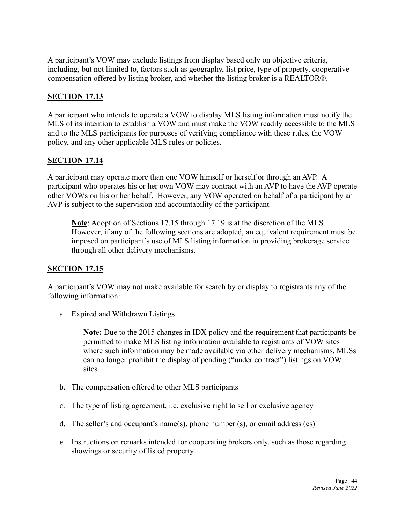A participant's VOW may exclude listings from display based only on objective criteria, including, but not limited to, factors such as geography, list price, type of property. cooperative compensation offered by listing broker, and whether the listing broker is a REALTOR®.

#### **SECTION 17.13**

A participant who intends to operate a VOW to display MLS listing information must notify the MLS of its intention to establish a VOW and must make the VOW readily accessible to the MLS and to the MLS participants for purposes of verifying compliance with these rules, the VOW policy, and any other applicable MLS rules or policies.

#### **SECTION 17.14**

A participant may operate more than one VOW himself or herself or through an AVP. A participant who operates his or her own VOW may contract with an AVP to have the AVP operate other VOWs on his or her behalf. However, any VOW operated on behalf of a participant by an AVP is subject to the supervision and accountability of the participant.

**Note**: Adoption of Sections 17.15 through 17.19 is at the discretion of the MLS. However, if any of the following sections are adopted, an equivalent requirement must be imposed on participant's use of MLS listing information in providing brokerage service through all other delivery mechanisms.

#### **SECTION 17.15**

A participant's VOW may not make available for search by or display to registrants any of the following information:

a. Expired and Withdrawn Listings

**Note:** Due to the 2015 changes in IDX policy and the requirement that participants be permitted to make MLS listing information available to registrants of VOW sites where such information may be made available via other delivery mechanisms, MLSs can no longer prohibit the display of pending ("under contract") listings on VOW sites.

- b. The compensation offered to other MLS participants
- c. The type of listing agreement, i.e. exclusive right to sell or exclusive agency
- d. The seller's and occupant's name(s), phone number (s), or email address (es)
- e. Instructions on remarks intended for cooperating brokers only, such as those regarding showings or security of listed property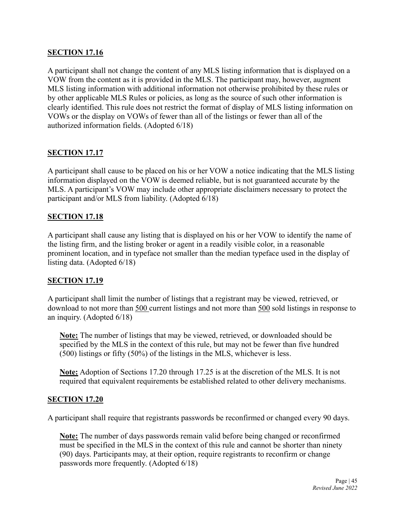#### **SECTION 17.16**

A participant shall not change the content of any MLS listing information that is displayed on a VOW from the content as it is provided in the MLS. The participant may, however, augment MLS listing information with additional information not otherwise prohibited by these rules or by other applicable MLS Rules or policies, as long as the source of such other information is clearly identified. This rule does not restrict the format of display of MLS listing information on VOWs or the display on VOWs of fewer than all of the listings or fewer than all of the authorized information fields. (Adopted 6/18)

#### **SECTION 17.17**

A participant shall cause to be placed on his or her VOW a notice indicating that the MLS listing information displayed on the VOW is deemed reliable, but is not guaranteed accurate by the MLS. A participant's VOW may include other appropriate disclaimers necessary to protect the participant and/or MLS from liability. (Adopted 6/18)

#### **SECTION 17.18**

A participant shall cause any listing that is displayed on his or her VOW to identify the name of the listing firm, and the listing broker or agent in a readily visible color, in a reasonable prominent location, and in typeface not smaller than the median typeface used in the display of listing data. (Adopted 6/18)

#### **SECTION 17.19**

A participant shall limit the number of listings that a registrant may be viewed, retrieved, or download to not more than 500 current listings and not more than 500 sold listings in response to an inquiry. (Adopted 6/18)

**Note:** The number of listings that may be viewed, retrieved, or downloaded should be specified by the MLS in the context of this rule, but may not be fewer than five hundred (500) listings or fifty (50%) of the listings in the MLS, whichever is less.

**Note:** Adoption of Sections 17.20 through 17.25 is at the discretion of the MLS. It is not required that equivalent requirements be established related to other delivery mechanisms.

#### **SECTION 17.20**

A participant shall require that registrants passwords be reconfirmed or changed every 90 days.

**Note:** The number of days passwords remain valid before being changed or reconfirmed must be specified in the MLS in the context of this rule and cannot be shorter than ninety (90) days. Participants may, at their option, require registrants to reconfirm or change passwords more frequently. (Adopted 6/18)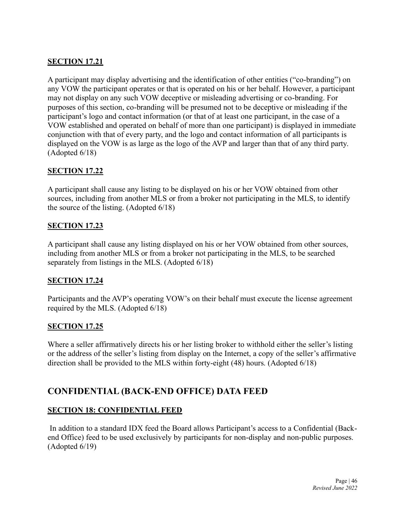#### **SECTION 17.21**

A participant may display advertising and the identification of other entities ("co-branding") on any VOW the participant operates or that is operated on his or her behalf. However, a participant may not display on any such VOW deceptive or misleading advertising or co-branding. For purposes of this section, co-branding will be presumed not to be deceptive or misleading if the participant's logo and contact information (or that of at least one participant, in the case of a VOW established and operated on behalf of more than one participant) is displayed in immediate conjunction with that of every party, and the logo and contact information of all participants is displayed on the VOW is as large as the logo of the AVP and larger than that of any third party. (Adopted 6/18)

# **SECTION 17.22**

A participant shall cause any listing to be displayed on his or her VOW obtained from other sources, including from another MLS or from a broker not participating in the MLS, to identify the source of the listing. (Adopted 6/18)

#### **SECTION 17.23**

A participant shall cause any listing displayed on his or her VOW obtained from other sources, including from another MLS or from a broker not participating in the MLS, to be searched separately from listings in the MLS. (Adopted 6/18)

#### **SECTION 17.24**

Participants and the AVP's operating VOW's on their behalf must execute the license agreement required by the MLS. (Adopted 6/18)

#### **SECTION 17.25**

Where a seller affirmatively directs his or her listing broker to withhold either the seller's listing or the address of the seller's listing from display on the Internet, a copy of the seller's affirmative direction shall be provided to the MLS within forty-eight (48) hours. (Adopted 6/18)

# **CONFIDENTIAL (BACK-END OFFICE) DATA FEED**

#### **SECTION 18: CONFIDENTIAL FEED**

In addition to a standard IDX feed the Board allows Participant's access to a Confidential (Backend Office) feed to be used exclusively by participants for non-display and non-public purposes. (Adopted 6/19)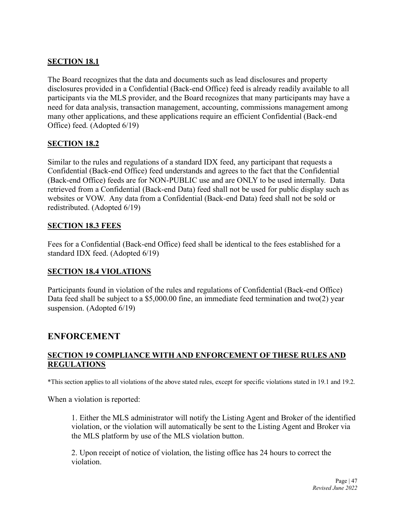#### **SECTION 18.1**

The Board recognizes that the data and documents such as lead disclosures and property disclosures provided in a Confidential (Back-end Office) feed is already readily available to all participants via the MLS provider, and the Board recognizes that many participants may have a need for data analysis, transaction management, accounting, commissions management among many other applications, and these applications require an efficient Confidential (Back-end Office) feed. (Adopted 6/19)

#### **SECTION 18.2**

Similar to the rules and regulations of a standard IDX feed, any participant that requests a Confidential (Back-end Office) feed understands and agrees to the fact that the Confidential (Back-end Office) feeds are for NON-PUBLIC use and are ONLY to be used internally. Data retrieved from a Confidential (Back-end Data) feed shall not be used for public display such as websites or VOW. Any data from a Confidential (Back-end Data) feed shall not be sold or redistributed. (Adopted 6/19)

#### **SECTION 18.3 FEES**

Fees for a Confidential (Back-end Office) feed shall be identical to the fees established for a standard IDX feed. (Adopted 6/19)

#### **SECTION 18.4 VIOLATIONS**

Participants found in violation of the rules and regulations of Confidential (Back-end Office) Data feed shall be subject to a \$5,000.00 fine, an immediate feed termination and two(2) year suspension. (Adopted 6/19)

# **ENFORCEMENT**

#### **SECTION 19 COMPLIANCE WITH AND ENFORCEMENT OF THESE RULES AND REGULATIONS**

\*This section applies to all violations of the above stated rules, except for specific violations stated in 19.1 and 19.2.

When a violation is reported:

1. Either the MLS administrator will notify the Listing Agent and Broker of the identified violation, or the violation will automatically be sent to the Listing Agent and Broker via the MLS platform by use of the MLS violation button.

2. Upon receipt of notice of violation, the listing office has 24 hours to correct the violation.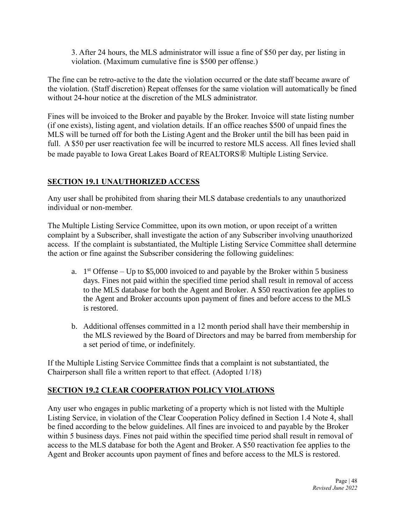3. After 24 hours, the MLS administrator will issue a fine of \$50 per day, per listing in violation. (Maximum cumulative fine is \$500 per offense.)

The fine can be retro-active to the date the violation occurred or the date staff became aware of the violation. (Staff discretion) Repeat offenses for the same violation will automatically be fined without 24-hour notice at the discretion of the MLS administrator.

Fines will be invoiced to the Broker and payable by the Broker. Invoice will state listing number (if one exists), listing agent, and violation details. If an office reaches \$500 of unpaid fines the MLS will be turned off for both the Listing Agent and the Broker until the bill has been paid in full. A \$50 per user reactivation fee will be incurred to restore MLS access. All fines levied shall be made payable to Iowa Great Lakes Board of REALTORS® Multiple Listing Service.

# **SECTION 19.1 UNAUTHORIZED ACCESS**

Any user shall be prohibited from sharing their MLS database credentials to any unauthorized individual or non-member.

The Multiple Listing Service Committee, upon its own motion, or upon receipt of a written complaint by a Subscriber, shall investigate the action of any Subscriber involving unauthorized access. If the complaint is substantiated, the Multiple Listing Service Committee shall determine the action or fine against the Subscriber considering the following guidelines:

- a.  $1<sup>st</sup>$  Offense Up to \$5,000 invoiced to and payable by the Broker within 5 business days. Fines not paid within the specified time period shall result in removal of access to the MLS database for both the Agent and Broker. A \$50 reactivation fee applies to the Agent and Broker accounts upon payment of fines and before access to the MLS is restored.
- b. Additional offenses committed in a 12 month period shall have their membership in the MLS reviewed by the Board of Directors and may be barred from membership for a set period of time, or indefinitely.

If the Multiple Listing Service Committee finds that a complaint is not substantiated, the Chairperson shall file a written report to that effect. (Adopted 1/18)

#### **SECTION 19.2 CLEAR COOPERATION POLICY VIOLATIONS**

Any user who engages in public marketing of a property which is not listed with the Multiple Listing Service, in violation of the Clear Cooperation Policy defined in Section 1.4 Note 4, shall be fined according to the below guidelines. All fines are invoiced to and payable by the Broker within 5 business days. Fines not paid within the specified time period shall result in removal of access to the MLS database for both the Agent and Broker. A \$50 reactivation fee applies to the Agent and Broker accounts upon payment of fines and before access to the MLS is restored.